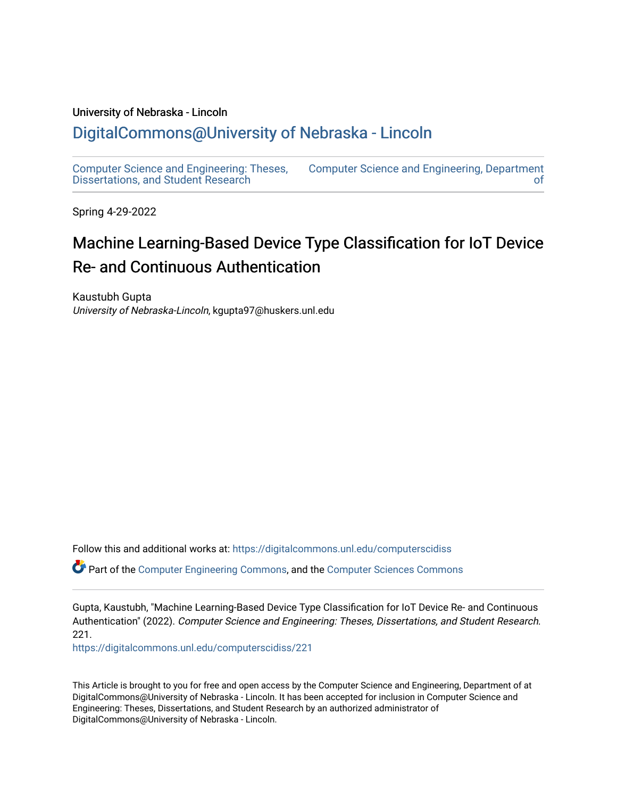#### University of Nebraska - Lincoln

## [DigitalCommons@University of Nebraska - Lincoln](https://digitalcommons.unl.edu/)

[Computer Science and Engineering: Theses,](https://digitalcommons.unl.edu/computerscidiss)  [Dissertations, and Student Research](https://digitalcommons.unl.edu/computerscidiss)  [Computer Science and Engineering, Department](https://digitalcommons.unl.edu/computerscienceandengineering)  [of](https://digitalcommons.unl.edu/computerscienceandengineering) 

Spring 4-29-2022

# Machine Learning-Based Device Type Classification for IoT Device Re- and Continuous Authentication

Kaustubh Gupta University of Nebraska-Lincoln, kgupta97@huskers.unl.edu

Follow this and additional works at: [https://digitalcommons.unl.edu/computerscidiss](https://digitalcommons.unl.edu/computerscidiss?utm_source=digitalcommons.unl.edu%2Fcomputerscidiss%2F221&utm_medium=PDF&utm_campaign=PDFCoverPages) 

Part of the [Computer Engineering Commons,](http://network.bepress.com/hgg/discipline/258?utm_source=digitalcommons.unl.edu%2Fcomputerscidiss%2F221&utm_medium=PDF&utm_campaign=PDFCoverPages) and the [Computer Sciences Commons](http://network.bepress.com/hgg/discipline/142?utm_source=digitalcommons.unl.edu%2Fcomputerscidiss%2F221&utm_medium=PDF&utm_campaign=PDFCoverPages) 

Gupta, Kaustubh, "Machine Learning-Based Device Type Classification for IoT Device Re- and Continuous Authentication" (2022). Computer Science and Engineering: Theses, Dissertations, and Student Research. 221.

[https://digitalcommons.unl.edu/computerscidiss/221](https://digitalcommons.unl.edu/computerscidiss/221?utm_source=digitalcommons.unl.edu%2Fcomputerscidiss%2F221&utm_medium=PDF&utm_campaign=PDFCoverPages) 

This Article is brought to you for free and open access by the Computer Science and Engineering, Department of at DigitalCommons@University of Nebraska - Lincoln. It has been accepted for inclusion in Computer Science and Engineering: Theses, Dissertations, and Student Research by an authorized administrator of DigitalCommons@University of Nebraska - Lincoln.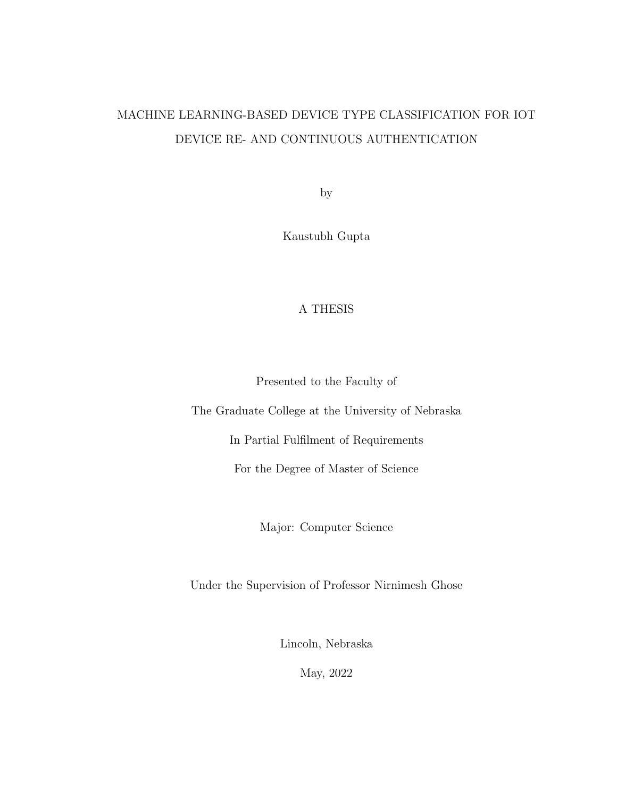# MACHINE LEARNING-BASED DEVICE TYPE CLASSIFICATION FOR IOT DEVICE RE- AND CONTINUOUS AUTHENTICATION

by

Kaustubh Gupta

## A THESIS

Presented to the Faculty of

The Graduate College at the University of Nebraska

In Partial Fulfilment of Requirements

For the Degree of Master of Science

Major: Computer Science

Under the Supervision of Professor Nirnimesh Ghose

Lincoln, Nebraska

May, 2022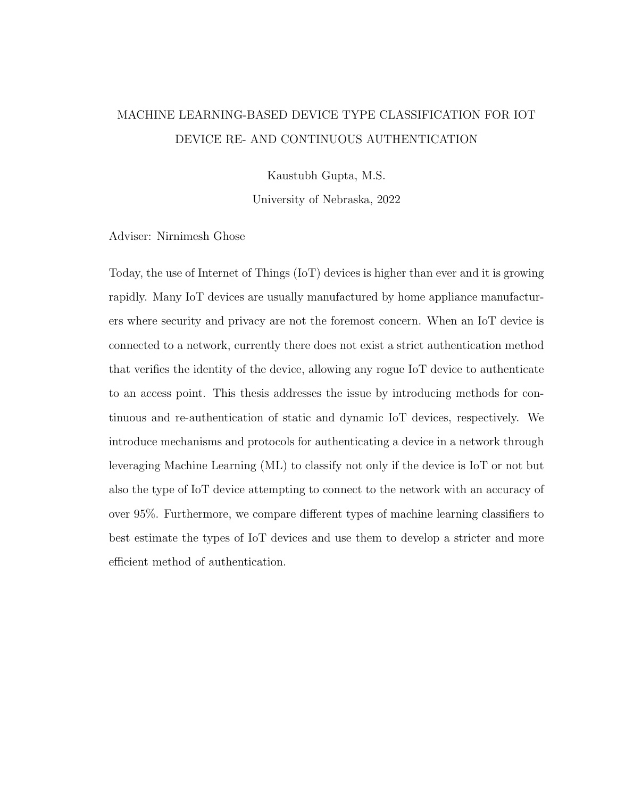## MACHINE LEARNING-BASED DEVICE TYPE CLASSIFICATION FOR IOT DEVICE RE- AND CONTINUOUS AUTHENTICATION

Kaustubh Gupta, M.S.

University of Nebraska, 2022

Adviser: Nirnimesh Ghose

Today, the use of Internet of Things (IoT) devices is higher than ever and it is growing rapidly. Many IoT devices are usually manufactured by home appliance manufacturers where security and privacy are not the foremost concern. When an IoT device is connected to a network, currently there does not exist a strict authentication method that verifies the identity of the device, allowing any rogue IoT device to authenticate to an access point. This thesis addresses the issue by introducing methods for continuous and re-authentication of static and dynamic IoT devices, respectively. We introduce mechanisms and protocols for authenticating a device in a network through leveraging Machine Learning (ML) to classify not only if the device is IoT or not but also the type of IoT device attempting to connect to the network with an accuracy of over 95%. Furthermore, we compare different types of machine learning classifiers to best estimate the types of IoT devices and use them to develop a stricter and more efficient method of authentication.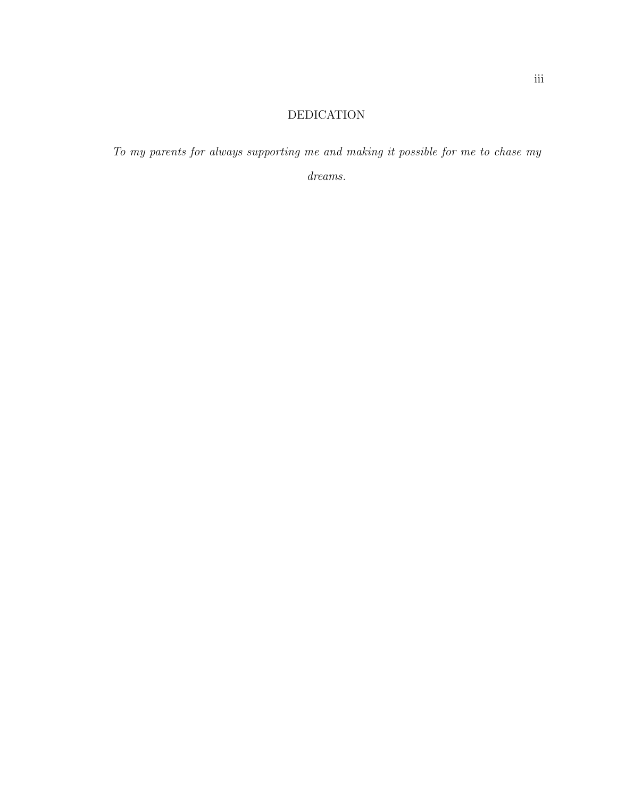## DEDICATION

To my parents for always supporting me and making it possible for me to chase my dreams.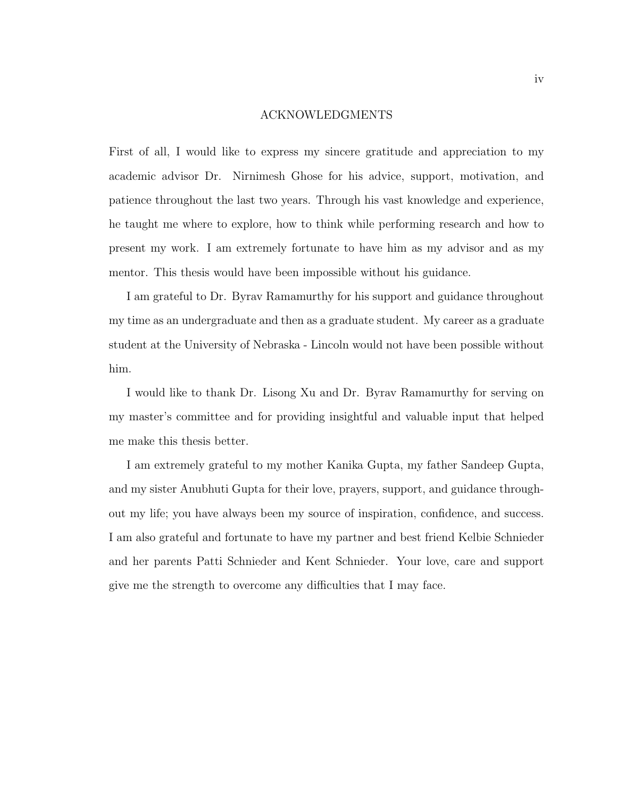#### ACKNOWLEDGMENTS

First of all, I would like to express my sincere gratitude and appreciation to my academic advisor Dr. Nirnimesh Ghose for his advice, support, motivation, and patience throughout the last two years. Through his vast knowledge and experience, he taught me where to explore, how to think while performing research and how to present my work. I am extremely fortunate to have him as my advisor and as my mentor. This thesis would have been impossible without his guidance.

I am grateful to Dr. Byrav Ramamurthy for his support and guidance throughout my time as an undergraduate and then as a graduate student. My career as a graduate student at the University of Nebraska - Lincoln would not have been possible without him.

I would like to thank Dr. Lisong Xu and Dr. Byrav Ramamurthy for serving on my master's committee and for providing insightful and valuable input that helped me make this thesis better.

I am extremely grateful to my mother Kanika Gupta, my father Sandeep Gupta, and my sister Anubhuti Gupta for their love, prayers, support, and guidance throughout my life; you have always been my source of inspiration, confidence, and success. I am also grateful and fortunate to have my partner and best friend Kelbie Schnieder and her parents Patti Schnieder and Kent Schnieder. Your love, care and support give me the strength to overcome any difficulties that I may face.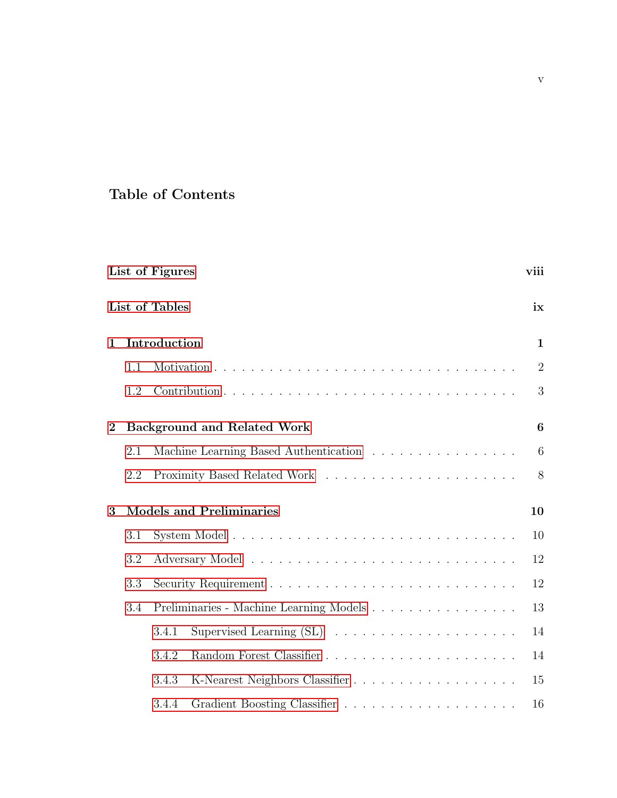## Table of Contents

|              |     | List of Figures |                                         | viii             |
|--------------|-----|-----------------|-----------------------------------------|------------------|
|              |     | List of Tables  |                                         | ix               |
| $\mathbf{1}$ |     | Introduction    |                                         | $\mathbf{1}$     |
|              | 1.1 |                 |                                         | $\overline{2}$   |
|              | 1.2 |                 |                                         | 3                |
| $\mathbf{2}$ |     |                 | <b>Background and Related Work</b>      | $\boldsymbol{6}$ |
|              | 2.1 |                 | Machine Learning Based Authentication   | 6                |
|              | 2.2 |                 |                                         | 8                |
| $\mathbf{3}$ |     |                 | <b>Models and Preliminaries</b>         | 10               |
|              | 3.1 |                 |                                         | 10               |
|              | 3.2 |                 |                                         | 12               |
|              | 3.3 |                 |                                         | 12               |
|              | 3.4 |                 | Preliminaries - Machine Learning Models | 13               |
|              |     | 3.4.1           |                                         | 14               |
|              |     | 3.4.2           |                                         | 14               |
|              |     | 3.4.3           |                                         | 15               |
|              |     | 3.4.4           |                                         | 16               |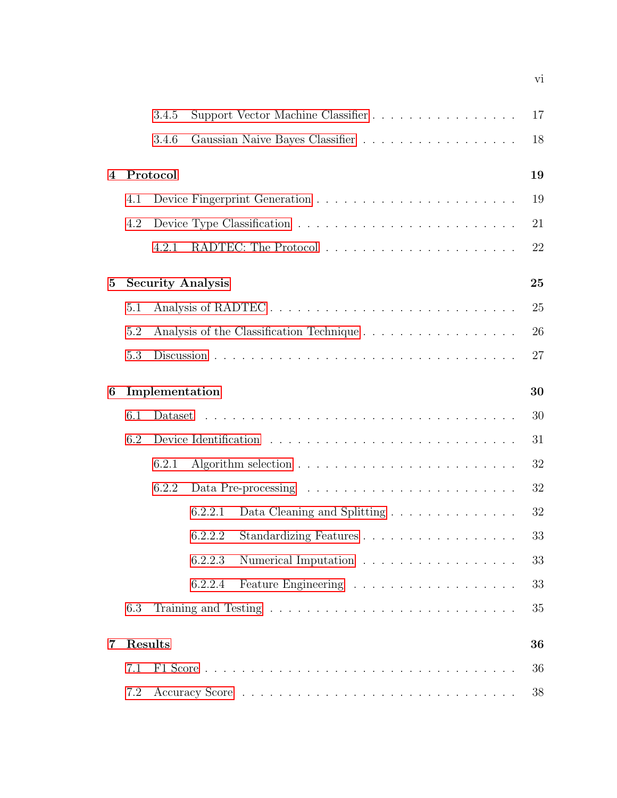|   |     | 3.4.5          | Support Vector Machine Classifier                                           | 17 |
|---|-----|----------------|-----------------------------------------------------------------------------|----|
|   |     | 3.4.6          |                                                                             | 18 |
| 4 |     | Protocol       |                                                                             | 19 |
|   | 4.1 |                |                                                                             | 19 |
|   | 4.2 |                |                                                                             | 21 |
|   |     | 4.2.1          |                                                                             | 22 |
| 5 |     |                | <b>Security Analysis</b>                                                    | 25 |
|   | 5.1 |                | Analysis of RADTEC                                                          | 25 |
|   | 5.2 |                |                                                                             | 26 |
|   | 5.3 |                |                                                                             | 27 |
|   |     |                |                                                                             |    |
| 6 |     | Implementation |                                                                             | 30 |
|   | 6.1 | Dataset        |                                                                             | 30 |
|   | 6.2 |                |                                                                             | 31 |
|   |     | 6.2.1          |                                                                             | 32 |
|   |     | 6.2.2          |                                                                             | 32 |
|   |     |                | Data Cleaning and Splitting $\ldots \ldots \ldots \ldots \ldots$<br>6.2.2.1 | 32 |
|   |     |                | Standardizing Features<br>6.2.2.2                                           | 33 |
|   |     |                | 6.2.2.3<br>Numerical Imputation                                             | 33 |
|   |     |                | 6.2.2.4                                                                     | 33 |
|   | 6.3 |                |                                                                             | 35 |
| 7 |     | Results        |                                                                             | 36 |
|   | 7.1 |                |                                                                             | 36 |
|   | 7.2 |                |                                                                             | 38 |

vi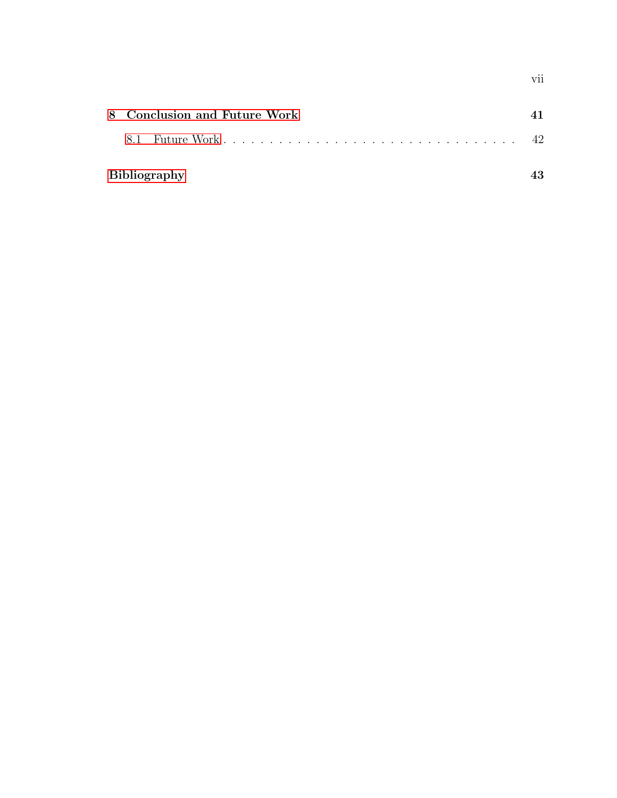|  | 8 Conclusion and Future Work |  |
|--|------------------------------|--|
|  |                              |  |
|  | <b>Bibliography</b>          |  |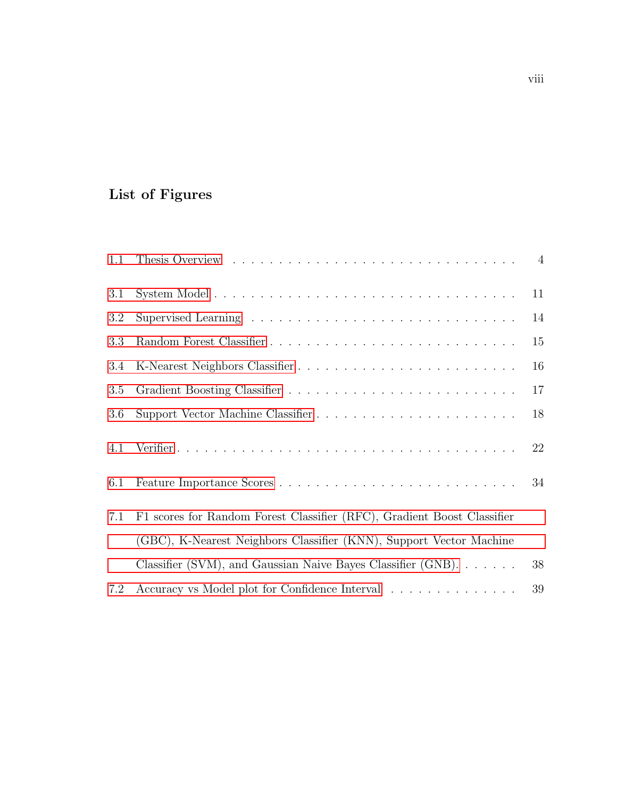# <span id="page-8-0"></span>List of Figures

| 1.1 |                                                                            |    |
|-----|----------------------------------------------------------------------------|----|
| 3.1 |                                                                            | 11 |
| 3.2 |                                                                            | 14 |
| 3.3 |                                                                            | 15 |
| 3.4 |                                                                            | 16 |
| 3.5 |                                                                            | 17 |
| 3.6 |                                                                            | 18 |
| 4.1 |                                                                            | 22 |
| 6.1 |                                                                            | 34 |
| 7.1 | F1 scores for Random Forest Classifier (RFC), Gradient Boost Classifier    |    |
|     | (GBC), K-Nearest Neighbors Classifier (KNN), Support Vector Machine        |    |
|     | Classifier (SVM), and Gaussian Naive Bayes Classifier (GNB). $\dots \dots$ | 38 |
| 7.2 | Accuracy vs Model plot for Confidence Interval                             | 39 |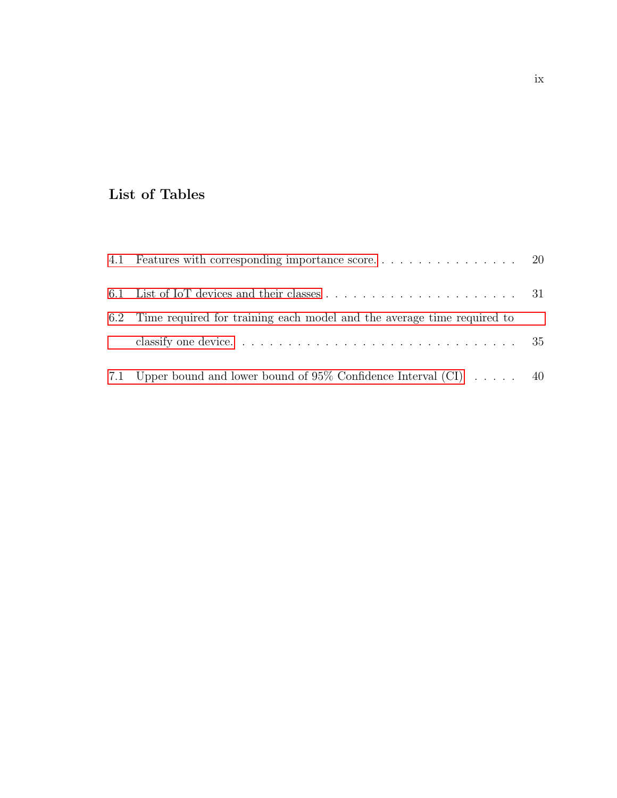## <span id="page-9-0"></span>List of Tables

| 6.2 Time required for training each model and the average time required to                                 |  |
|------------------------------------------------------------------------------------------------------------|--|
| classify one device. $\dots \dots \dots \dots \dots \dots \dots \dots \dots \dots \dots \dots \dots \dots$ |  |
| 7.1 Upper bound and lower bound of 95% Confidence Interval (CI) $\ldots$ . 40                              |  |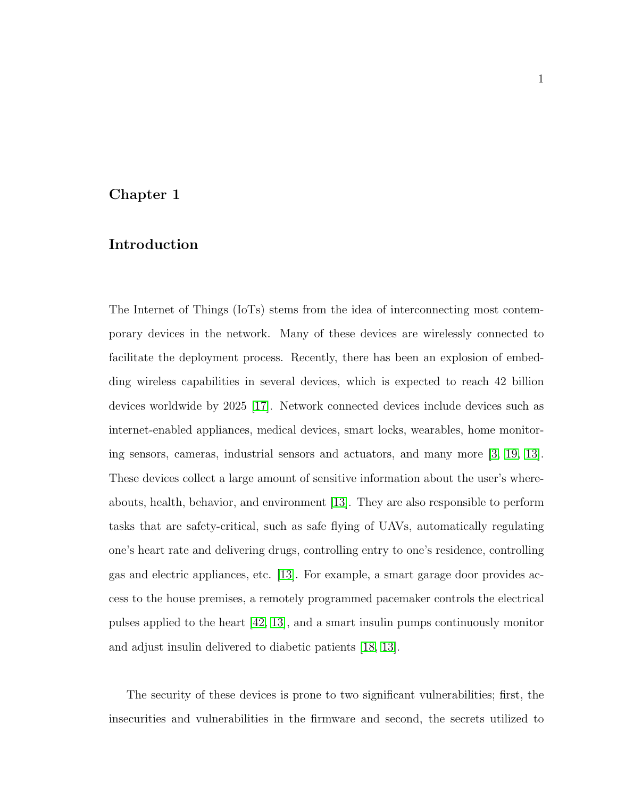## <span id="page-10-0"></span>Chapter 1

## Introduction

The Internet of Things (IoTs) stems from the idea of interconnecting most contemporary devices in the network. Many of these devices are wirelessly connected to facilitate the deployment process. Recently, there has been an explosion of embedding wireless capabilities in several devices, which is expected to reach 42 billion devices worldwide by 2025 [\[17\]](#page-54-0). Network connected devices include devices such as internet-enabled appliances, medical devices, smart locks, wearables, home monitoring sensors, cameras, industrial sensors and actuators, and many more [\[3,](#page-52-1) [19,](#page-54-1) [13\]](#page-53-0). These devices collect a large amount of sensitive information about the user's whereabouts, health, behavior, and environment [\[13\]](#page-53-0). They are also responsible to perform tasks that are safety-critical, such as safe flying of UAVs, automatically regulating one's heart rate and delivering drugs, controlling entry to one's residence, controlling gas and electric appliances, etc. [\[13\]](#page-53-0). For example, a smart garage door provides access to the house premises, a remotely programmed pacemaker controls the electrical pulses applied to the heart [\[42,](#page-57-0) [13\]](#page-53-0), and a smart insulin pumps continuously monitor and adjust insulin delivered to diabetic patients [\[18,](#page-54-2) [13\]](#page-53-0).

The security of these devices is prone to two significant vulnerabilities; first, the insecurities and vulnerabilities in the firmware and second, the secrets utilized to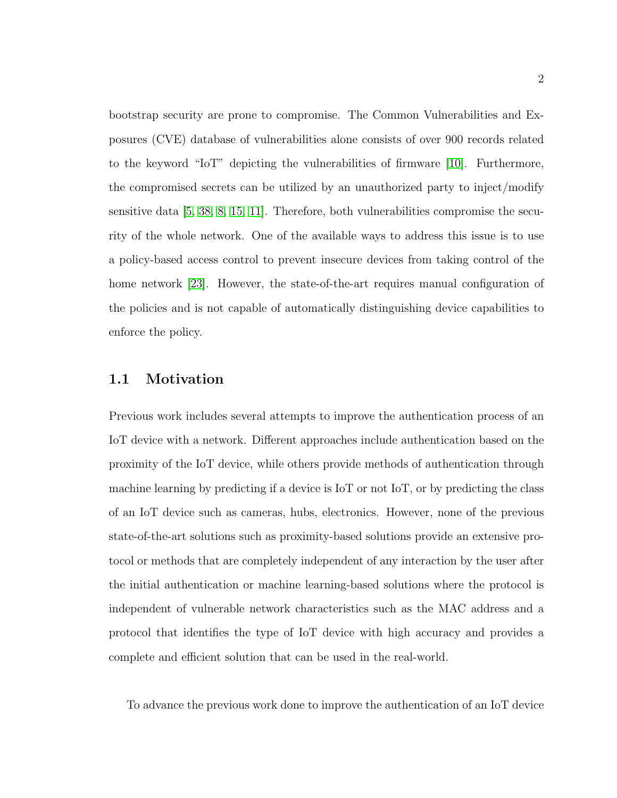bootstrap security are prone to compromise. The Common Vulnerabilities and Exposures (CVE) database of vulnerabilities alone consists of over 900 records related to the keyword "IoT" depicting the vulnerabilities of firmware [\[10\]](#page-53-1). Furthermore, the compromised secrets can be utilized by an unauthorized party to inject/modify sensitive data [\[5,](#page-52-2) [38,](#page-57-1) [8,](#page-53-2) [15,](#page-54-3) [11\]](#page-53-3). Therefore, both vulnerabilities compromise the security of the whole network. One of the available ways to address this issue is to use a policy-based access control to prevent insecure devices from taking control of the home network [\[23\]](#page-55-0). However, the state-of-the-art requires manual configuration of the policies and is not capable of automatically distinguishing device capabilities to enforce the policy.

## <span id="page-11-0"></span>1.1 Motivation

Previous work includes several attempts to improve the authentication process of an IoT device with a network. Different approaches include authentication based on the proximity of the IoT device, while others provide methods of authentication through machine learning by predicting if a device is IoT or not IoT, or by predicting the class of an IoT device such as cameras, hubs, electronics. However, none of the previous state-of-the-art solutions such as proximity-based solutions provide an extensive protocol or methods that are completely independent of any interaction by the user after the initial authentication or machine learning-based solutions where the protocol is independent of vulnerable network characteristics such as the MAC address and a protocol that identifies the type of IoT device with high accuracy and provides a complete and efficient solution that can be used in the real-world.

To advance the previous work done to improve the authentication of an IoT device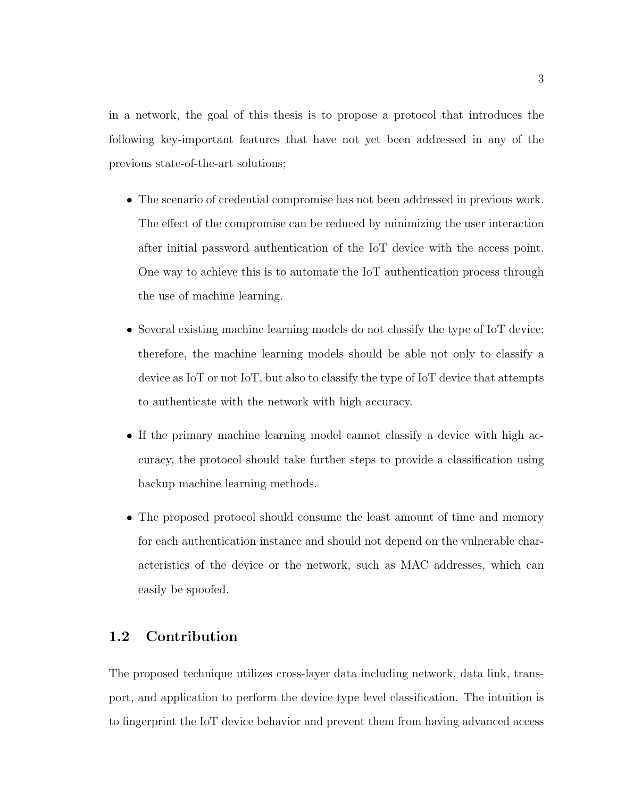in a network, the goal of this thesis is to propose a protocol that introduces the following key-important features that have not yet been addressed in any of the previous state-of-the-art solutions;

- The scenario of credential compromise has not been addressed in previous work. The effect of the compromise can be reduced by minimizing the user interaction after initial password authentication of the IoT device with the access point. One way to achieve this is to automate the IoT authentication process through the use of machine learning.
- Several existing machine learning models do not classify the type of IoT device; therefore, the machine learning models should be able not only to classify a device as IoT or not IoT, but also to classify the type of IoT device that attempts to authenticate with the network with high accuracy.
- If the primary machine learning model cannot classify a device with high accuracy, the protocol should take further steps to provide a classification using backup machine learning methods.
- The proposed protocol should consume the least amount of time and memory for each authentication instance and should not depend on the vulnerable characteristics of the device or the network, such as MAC addresses, which can easily be spoofed.

## <span id="page-12-0"></span>1.2 Contribution

The proposed technique utilizes cross-layer data including network, data link, transport, and application to perform the device type level classification. The intuition is to fingerprint the IoT device behavior and prevent them from having advanced access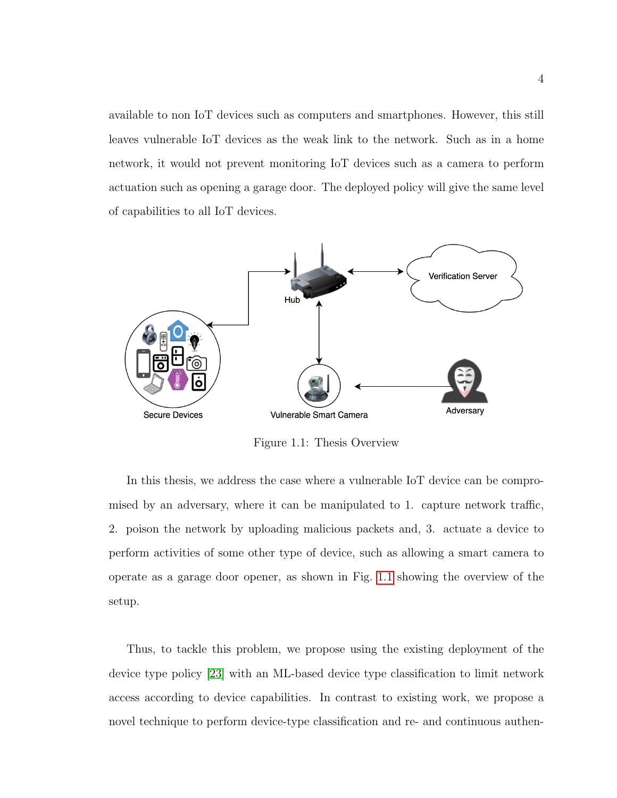available to non IoT devices such as computers and smartphones. However, this still leaves vulnerable IoT devices as the weak link to the network. Such as in a home network, it would not prevent monitoring IoT devices such as a camera to perform actuation such as opening a garage door. The deployed policy will give the same level of capabilities to all IoT devices.

<span id="page-13-0"></span>

Figure 1.1: Thesis Overview

In this thesis, we address the case where a vulnerable IoT device can be compromised by an adversary, where it can be manipulated to 1. capture network traffic, 2. poison the network by uploading malicious packets and, 3. actuate a device to perform activities of some other type of device, such as allowing a smart camera to operate as a garage door opener, as shown in Fig. [1.1](#page-13-0) showing the overview of the setup.

Thus, to tackle this problem, we propose using the existing deployment of the device type policy [\[23\]](#page-55-0) with an ML-based device type classification to limit network access according to device capabilities. In contrast to existing work, we propose a novel technique to perform device-type classification and re- and continuous authen-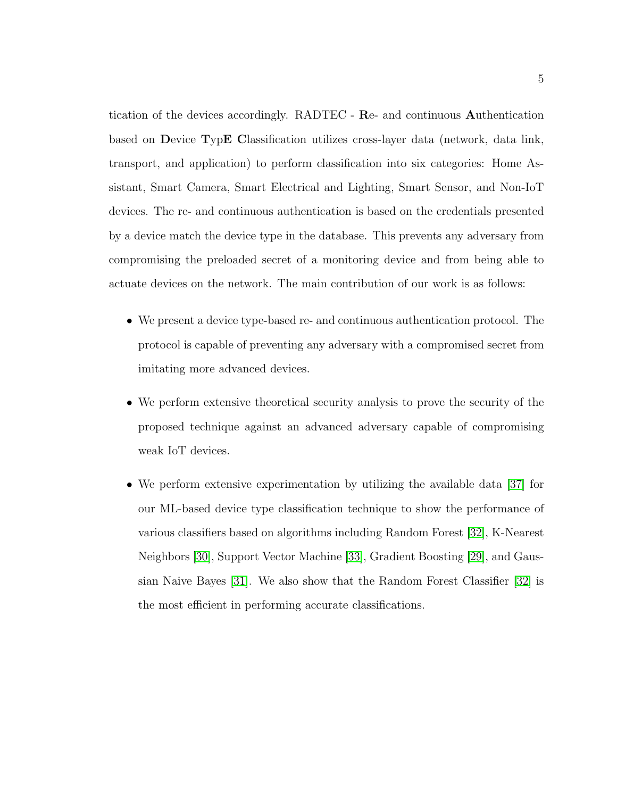tication of the devices accordingly. RADTEC - Re- and continuous Authentication based on Device TypE Classification utilizes cross-layer data (network, data link, transport, and application) to perform classification into six categories: Home Assistant, Smart Camera, Smart Electrical and Lighting, Smart Sensor, and Non-IoT devices. The re- and continuous authentication is based on the credentials presented by a device match the device type in the database. This prevents any adversary from compromising the preloaded secret of a monitoring device and from being able to actuate devices on the network. The main contribution of our work is as follows:

- We present a device type-based re- and continuous authentication protocol. The protocol is capable of preventing any adversary with a compromised secret from imitating more advanced devices.
- We perform extensive theoretical security analysis to prove the security of the proposed technique against an advanced adversary capable of compromising weak IoT devices.
- We perform extensive experimentation by utilizing the available data [\[37\]](#page-56-0) for our ML-based device type classification technique to show the performance of various classifiers based on algorithms including Random Forest [\[32\]](#page-56-1), K-Nearest Neighbors [\[30\]](#page-56-2), Support Vector Machine [\[33\]](#page-56-3), Gradient Boosting [\[29\]](#page-55-1), and Gaussian Naive Bayes [\[31\]](#page-56-4). We also show that the Random Forest Classifier [\[32\]](#page-56-1) is the most efficient in performing accurate classifications.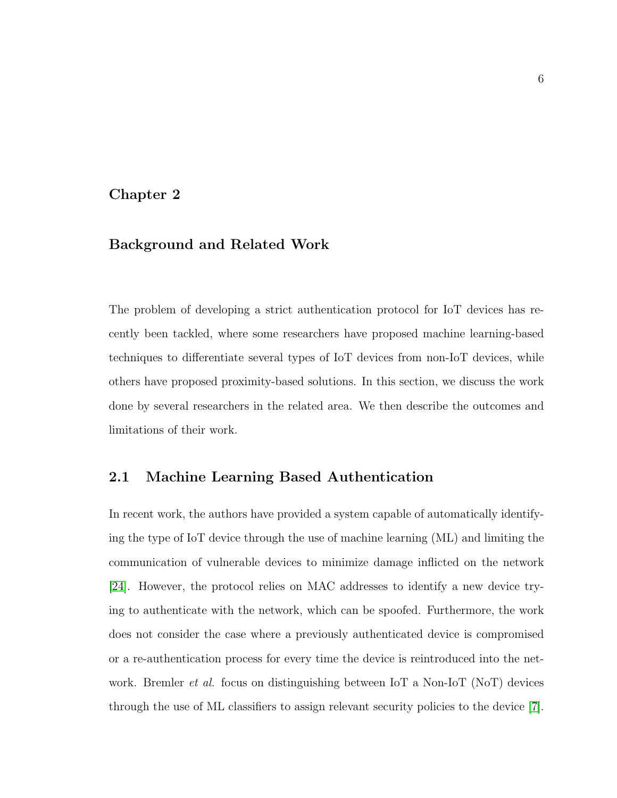## <span id="page-15-0"></span>Chapter 2

## Background and Related Work

The problem of developing a strict authentication protocol for IoT devices has recently been tackled, where some researchers have proposed machine learning-based techniques to differentiate several types of IoT devices from non-IoT devices, while others have proposed proximity-based solutions. In this section, we discuss the work done by several researchers in the related area. We then describe the outcomes and limitations of their work.

## <span id="page-15-1"></span>2.1 Machine Learning Based Authentication

In recent work, the authors have provided a system capable of automatically identifying the type of IoT device through the use of machine learning (ML) and limiting the communication of vulnerable devices to minimize damage inflicted on the network [\[24\]](#page-55-2). However, the protocol relies on MAC addresses to identify a new device trying to authenticate with the network, which can be spoofed. Furthermore, the work does not consider the case where a previously authenticated device is compromised or a re-authentication process for every time the device is reintroduced into the network. Bremler *et al.* focus on distinguishing between IoT a Non-IoT (NoT) devices through the use of ML classifiers to assign relevant security policies to the device [\[7\]](#page-53-4).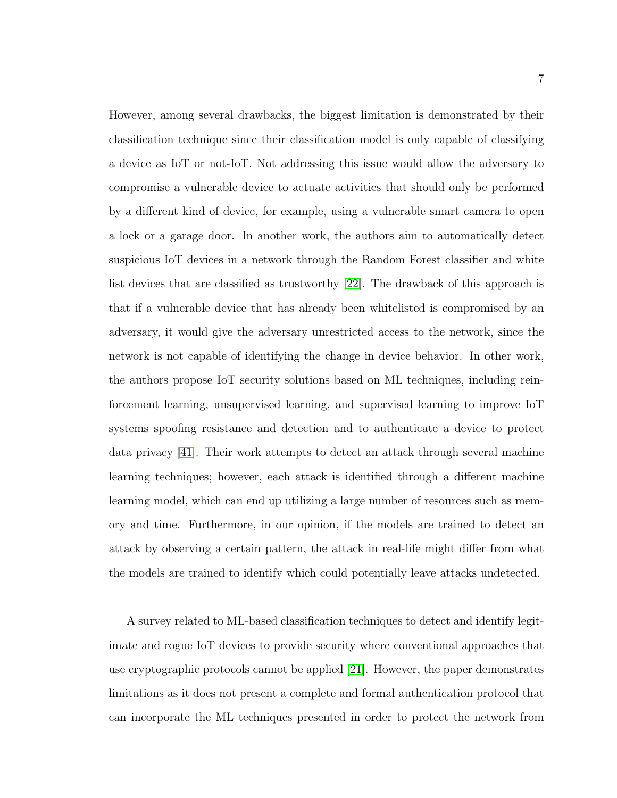However, among several drawbacks, the biggest limitation is demonstrated by their classification technique since their classification model is only capable of classifying a device as IoT or not-IoT. Not addressing this issue would allow the adversary to compromise a vulnerable device to actuate activities that should only be performed by a different kind of device, for example, using a vulnerable smart camera to open a lock or a garage door. In another work, the authors aim to automatically detect suspicious IoT devices in a network through the Random Forest classifier and white list devices that are classified as trustworthy [\[22\]](#page-54-4). The drawback of this approach is that if a vulnerable device that has already been whitelisted is compromised by an adversary, it would give the adversary unrestricted access to the network, since the network is not capable of identifying the change in device behavior. In other work, the authors propose IoT security solutions based on ML techniques, including reinforcement learning, unsupervised learning, and supervised learning to improve IoT systems spoofing resistance and detection and to authenticate a device to protect data privacy [\[41\]](#page-57-2). Their work attempts to detect an attack through several machine learning techniques; however, each attack is identified through a different machine learning model, which can end up utilizing a large number of resources such as memory and time. Furthermore, in our opinion, if the models are trained to detect an attack by observing a certain pattern, the attack in real-life might differ from what the models are trained to identify which could potentially leave attacks undetected.

A survey related to ML-based classification techniques to detect and identify legitimate and rogue IoT devices to provide security where conventional approaches that use cryptographic protocols cannot be applied [\[21\]](#page-54-5). However, the paper demonstrates limitations as it does not present a complete and formal authentication protocol that can incorporate the ML techniques presented in order to protect the network from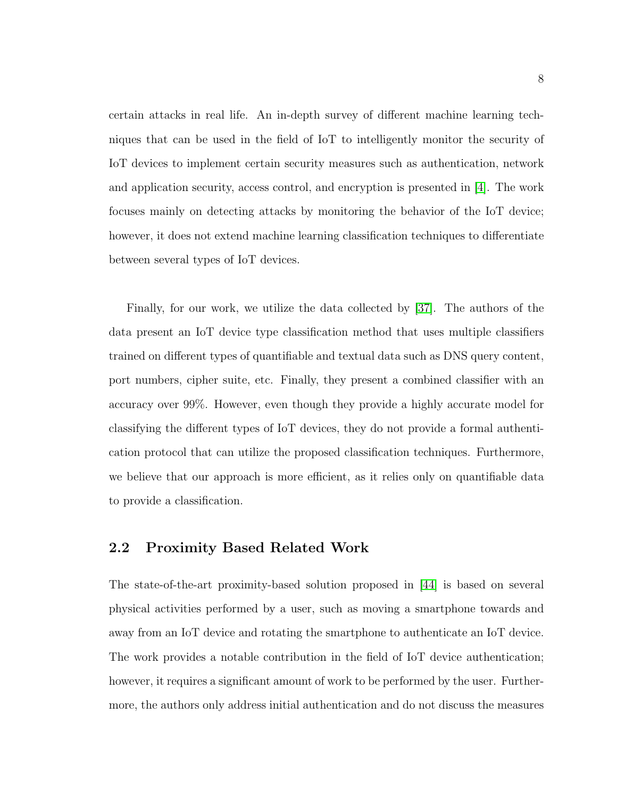certain attacks in real life. An in-depth survey of different machine learning techniques that can be used in the field of IoT to intelligently monitor the security of IoT devices to implement certain security measures such as authentication, network and application security, access control, and encryption is presented in [\[4\]](#page-52-3). The work focuses mainly on detecting attacks by monitoring the behavior of the IoT device; however, it does not extend machine learning classification techniques to differentiate between several types of IoT devices.

Finally, for our work, we utilize the data collected by [\[37\]](#page-56-0). The authors of the data present an IoT device type classification method that uses multiple classifiers trained on different types of quantifiable and textual data such as DNS query content, port numbers, cipher suite, etc. Finally, they present a combined classifier with an accuracy over 99%. However, even though they provide a highly accurate model for classifying the different types of IoT devices, they do not provide a formal authentication protocol that can utilize the proposed classification techniques. Furthermore, we believe that our approach is more efficient, as it relies only on quantifiable data to provide a classification.

## <span id="page-17-0"></span>2.2 Proximity Based Related Work

The state-of-the-art proximity-based solution proposed in [\[44\]](#page-57-3) is based on several physical activities performed by a user, such as moving a smartphone towards and away from an IoT device and rotating the smartphone to authenticate an IoT device. The work provides a notable contribution in the field of IoT device authentication; however, it requires a significant amount of work to be performed by the user. Furthermore, the authors only address initial authentication and do not discuss the measures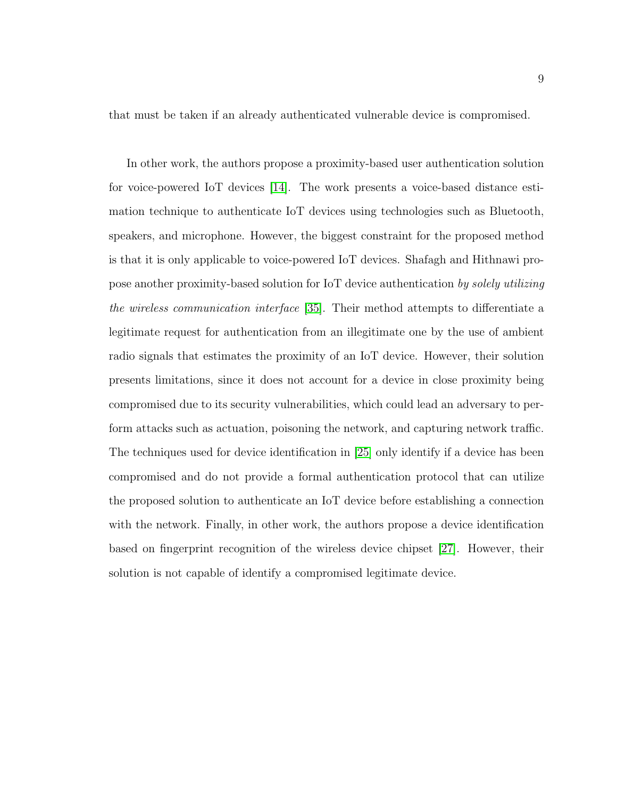that must be taken if an already authenticated vulnerable device is compromised.

In other work, the authors propose a proximity-based user authentication solution for voice-powered IoT devices [\[14\]](#page-53-5). The work presents a voice-based distance estimation technique to authenticate IoT devices using technologies such as Bluetooth, speakers, and microphone. However, the biggest constraint for the proposed method is that it is only applicable to voice-powered IoT devices. Shafagh and Hithnawi propose another proximity-based solution for IoT device authentication by solely utilizing the wireless communication interface [\[35\]](#page-56-5). Their method attempts to differentiate a legitimate request for authentication from an illegitimate one by the use of ambient radio signals that estimates the proximity of an IoT device. However, their solution presents limitations, since it does not account for a device in close proximity being compromised due to its security vulnerabilities, which could lead an adversary to perform attacks such as actuation, poisoning the network, and capturing network traffic. The techniques used for device identification in [\[25\]](#page-55-3) only identify if a device has been compromised and do not provide a formal authentication protocol that can utilize the proposed solution to authenticate an IoT device before establishing a connection with the network. Finally, in other work, the authors propose a device identification based on fingerprint recognition of the wireless device chipset [\[27\]](#page-55-4). However, their solution is not capable of identify a compromised legitimate device.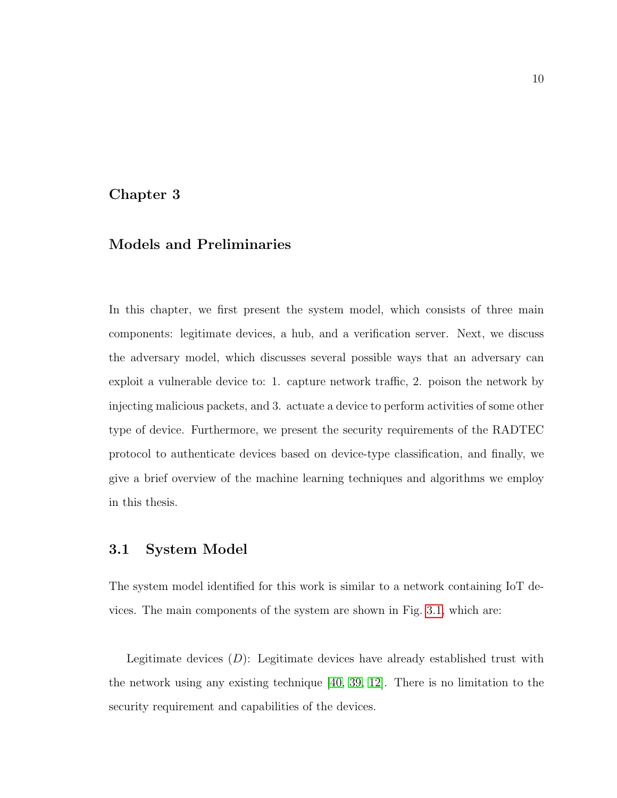## <span id="page-19-0"></span>Chapter 3

## Models and Preliminaries

In this chapter, we first present the system model, which consists of three main components: legitimate devices, a hub, and a verification server. Next, we discuss the adversary model, which discusses several possible ways that an adversary can exploit a vulnerable device to: 1. capture network traffic, 2. poison the network by injecting malicious packets, and 3. actuate a device to perform activities of some other type of device. Furthermore, we present the security requirements of the RADTEC protocol to authenticate devices based on device-type classification, and finally, we give a brief overview of the machine learning techniques and algorithms we employ in this thesis.

## <span id="page-19-1"></span>3.1 System Model

The system model identified for this work is similar to a network containing IoT devices. The main components of the system are shown in Fig. [3.1,](#page-20-0) which are:

Legitimate devices  $(D)$ : Legitimate devices have already established trust with the network using any existing technique [\[40,](#page-57-4) [39,](#page-57-5) [12\]](#page-53-6). There is no limitation to the security requirement and capabilities of the devices.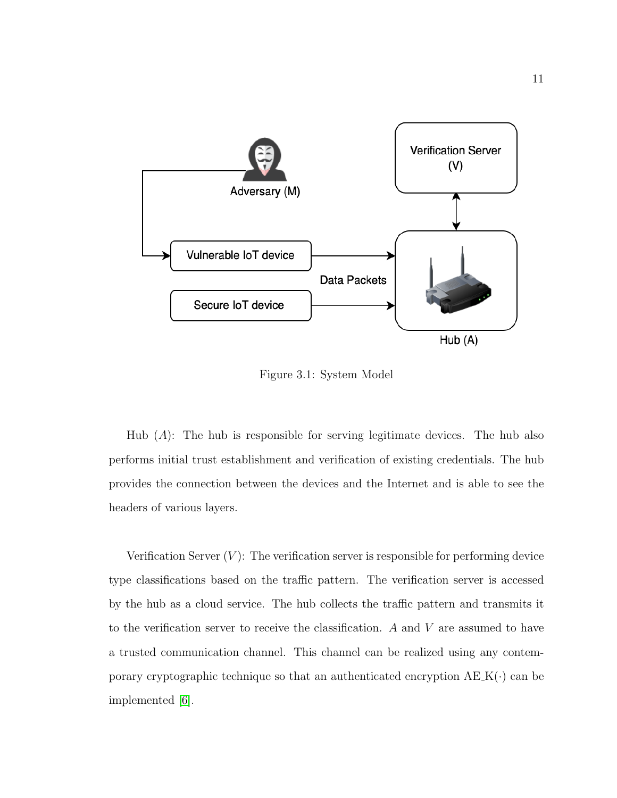<span id="page-20-0"></span>

Figure 3.1: System Model

Hub  $(A)$ : The hub is responsible for serving legitimate devices. The hub also performs initial trust establishment and verification of existing credentials. The hub provides the connection between the devices and the Internet and is able to see the headers of various layers.

Verification Server  $(V)$ : The verification server is responsible for performing device type classifications based on the traffic pattern. The verification server is accessed by the hub as a cloud service. The hub collects the traffic pattern and transmits it to the verification server to receive the classification. A and V are assumed to have a trusted communication channel. This channel can be realized using any contemporary cryptographic technique so that an authenticated encryption  $A E K(\cdot)$  can be implemented [\[6\]](#page-52-4).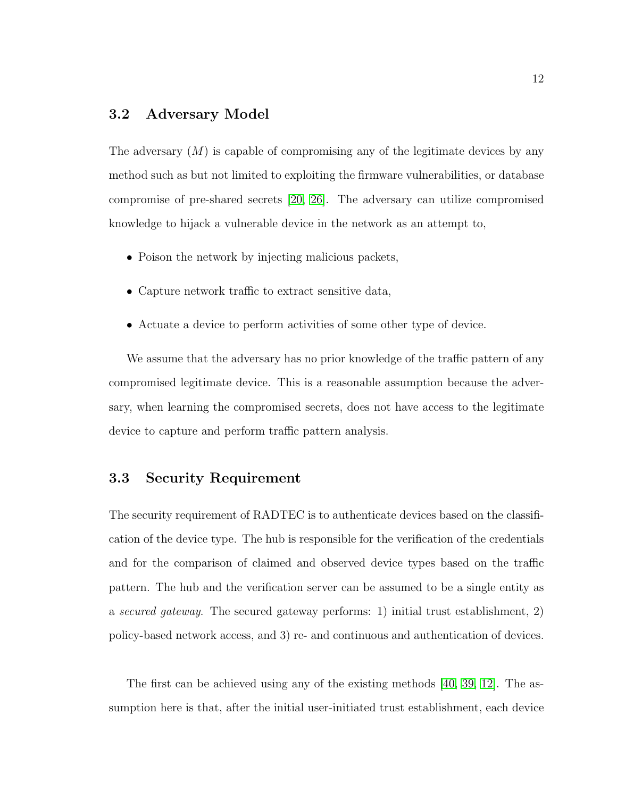## <span id="page-21-0"></span>3.2 Adversary Model

The adversary  $(M)$  is capable of compromising any of the legitimate devices by any method such as but not limited to exploiting the firmware vulnerabilities, or database compromise of pre-shared secrets [\[20,](#page-54-6) [26\]](#page-55-5). The adversary can utilize compromised knowledge to hijack a vulnerable device in the network as an attempt to,

- Poison the network by injecting malicious packets,
- Capture network traffic to extract sensitive data,
- Actuate a device to perform activities of some other type of device.

We assume that the adversary has no prior knowledge of the traffic pattern of any compromised legitimate device. This is a reasonable assumption because the adversary, when learning the compromised secrets, does not have access to the legitimate device to capture and perform traffic pattern analysis.

## <span id="page-21-1"></span>3.3 Security Requirement

The security requirement of RADTEC is to authenticate devices based on the classification of the device type. The hub is responsible for the verification of the credentials and for the comparison of claimed and observed device types based on the traffic pattern. The hub and the verification server can be assumed to be a single entity as a secured gateway. The secured gateway performs: 1) initial trust establishment, 2) policy-based network access, and 3) re- and continuous and authentication of devices.

The first can be achieved using any of the existing methods [\[40,](#page-57-4) [39,](#page-57-5) [12\]](#page-53-6). The assumption here is that, after the initial user-initiated trust establishment, each device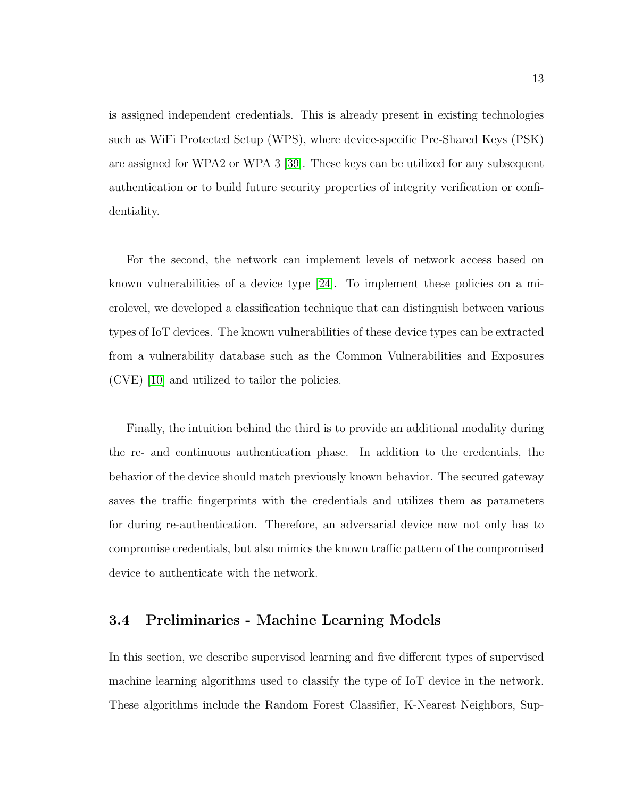is assigned independent credentials. This is already present in existing technologies such as WiFi Protected Setup (WPS), where device-specific Pre-Shared Keys (PSK) are assigned for WPA2 or WPA 3 [\[39\]](#page-57-5). These keys can be utilized for any subsequent authentication or to build future security properties of integrity verification or confidentiality.

For the second, the network can implement levels of network access based on known vulnerabilities of a device type [\[24\]](#page-55-2). To implement these policies on a microlevel, we developed a classification technique that can distinguish between various types of IoT devices. The known vulnerabilities of these device types can be extracted from a vulnerability database such as the Common Vulnerabilities and Exposures (CVE) [\[10\]](#page-53-1) and utilized to tailor the policies.

Finally, the intuition behind the third is to provide an additional modality during the re- and continuous authentication phase. In addition to the credentials, the behavior of the device should match previously known behavior. The secured gateway saves the traffic fingerprints with the credentials and utilizes them as parameters for during re-authentication. Therefore, an adversarial device now not only has to compromise credentials, but also mimics the known traffic pattern of the compromised device to authenticate with the network.

## <span id="page-22-0"></span>3.4 Preliminaries - Machine Learning Models

In this section, we describe supervised learning and five different types of supervised machine learning algorithms used to classify the type of IoT device in the network. These algorithms include the Random Forest Classifier, K-Nearest Neighbors, Sup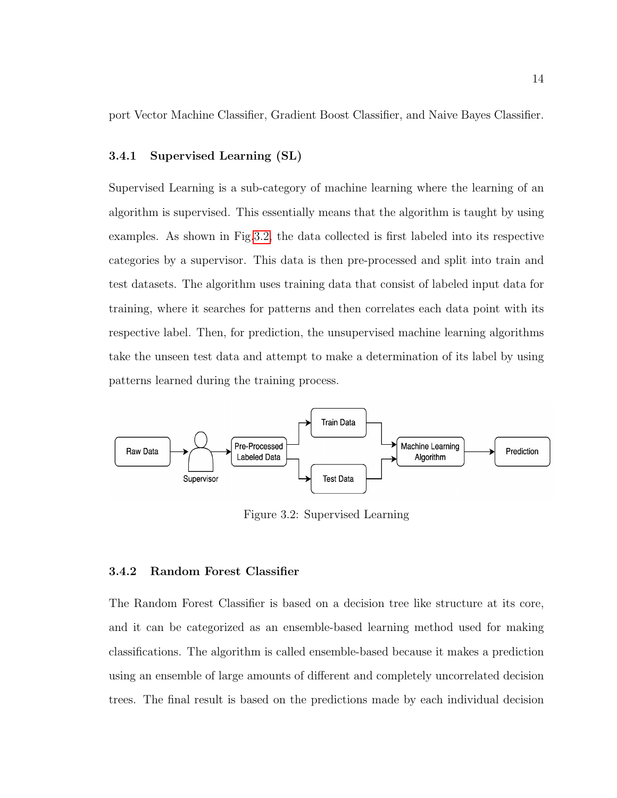port Vector Machine Classifier, Gradient Boost Classifier, and Naive Bayes Classifier.

#### <span id="page-23-0"></span>3.4.1 Supervised Learning (SL)

Supervised Learning is a sub-category of machine learning where the learning of an algorithm is supervised. This essentially means that the algorithm is taught by using examples. As shown in Fig[.3.2,](#page-23-2) the data collected is first labeled into its respective categories by a supervisor. This data is then pre-processed and split into train and test datasets. The algorithm uses training data that consist of labeled input data for training, where it searches for patterns and then correlates each data point with its respective label. Then, for prediction, the unsupervised machine learning algorithms take the unseen test data and attempt to make a determination of its label by using patterns learned during the training process.

<span id="page-23-2"></span>

Figure 3.2: Supervised Learning

#### <span id="page-23-1"></span>3.4.2 Random Forest Classifier

The Random Forest Classifier is based on a decision tree like structure at its core, and it can be categorized as an ensemble-based learning method used for making classifications. The algorithm is called ensemble-based because it makes a prediction using an ensemble of large amounts of different and completely uncorrelated decision trees. The final result is based on the predictions made by each individual decision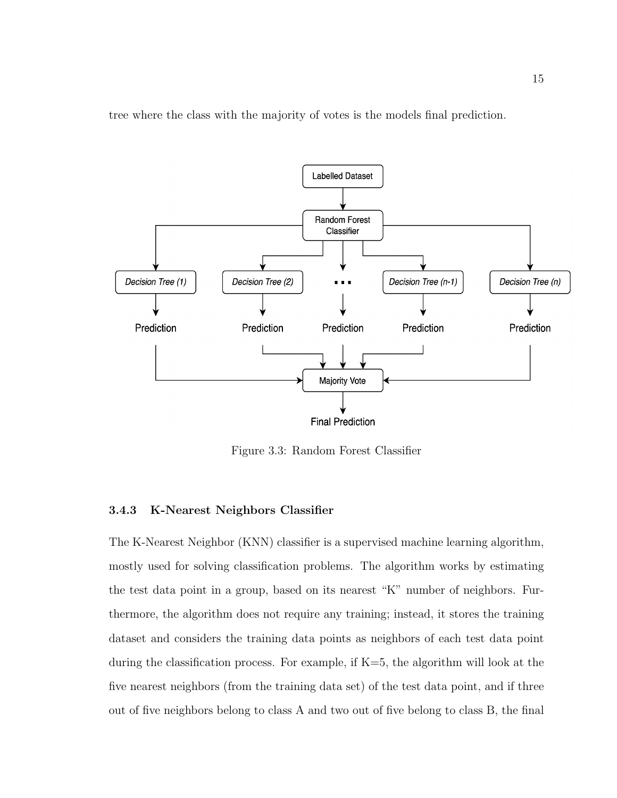tree where the class with the majority of votes is the models final prediction.

<span id="page-24-1"></span>

Figure 3.3: Random Forest Classifier

#### <span id="page-24-0"></span>3.4.3 K-Nearest Neighbors Classifier

The K-Nearest Neighbor (KNN) classifier is a supervised machine learning algorithm, mostly used for solving classification problems. The algorithm works by estimating the test data point in a group, based on its nearest "K" number of neighbors. Furthermore, the algorithm does not require any training; instead, it stores the training dataset and considers the training data points as neighbors of each test data point during the classification process. For example, if K=5, the algorithm will look at the five nearest neighbors (from the training data set) of the test data point, and if three out of five neighbors belong to class A and two out of five belong to class B, the final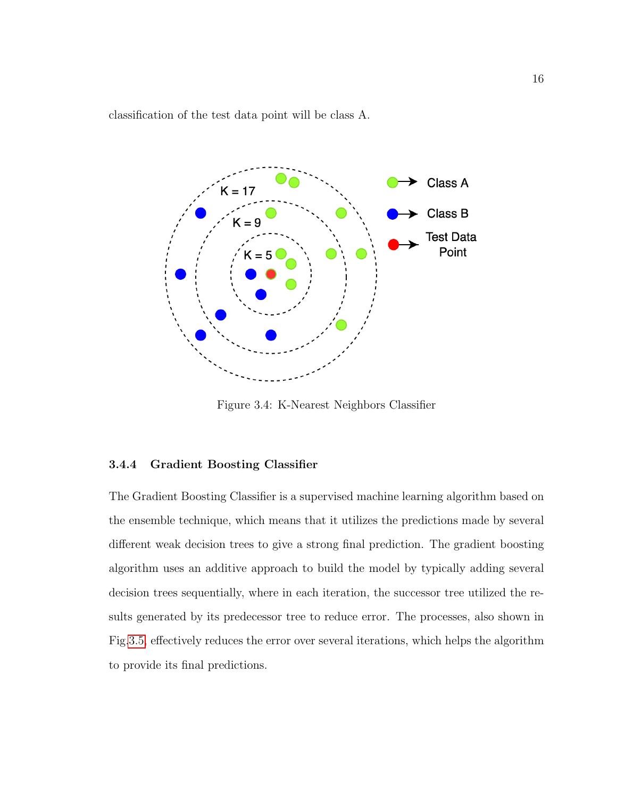classification of the test data point will be class A.

<span id="page-25-1"></span>

Figure 3.4: K-Nearest Neighbors Classifier

#### <span id="page-25-0"></span>3.4.4 Gradient Boosting Classifier

The Gradient Boosting Classifier is a supervised machine learning algorithm based on the ensemble technique, which means that it utilizes the predictions made by several different weak decision trees to give a strong final prediction. The gradient boosting algorithm uses an additive approach to build the model by typically adding several decision trees sequentially, where in each iteration, the successor tree utilized the results generated by its predecessor tree to reduce error. The processes, also shown in Fig[.3.5,](#page-26-1) effectively reduces the error over several iterations, which helps the algorithm to provide its final predictions.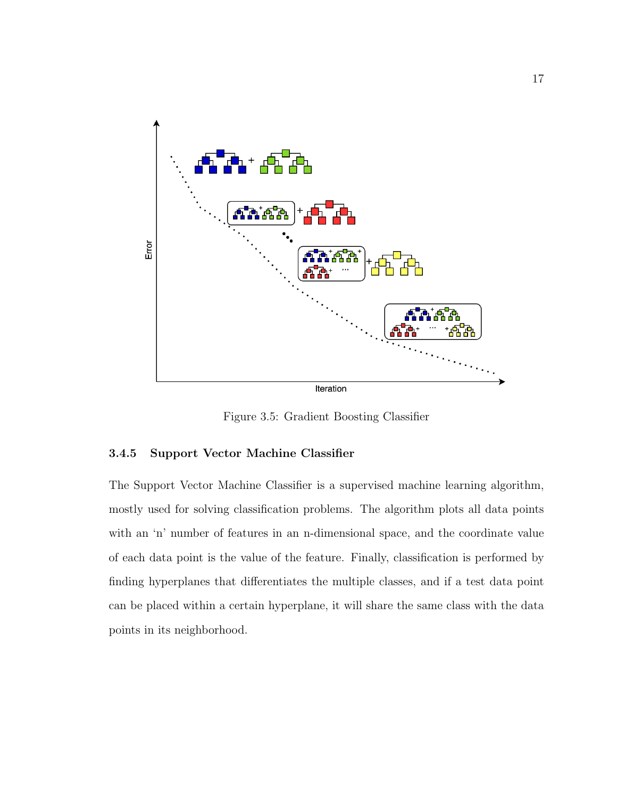<span id="page-26-1"></span>

Figure 3.5: Gradient Boosting Classifier

#### <span id="page-26-0"></span>3.4.5 Support Vector Machine Classifier

The Support Vector Machine Classifier is a supervised machine learning algorithm, mostly used for solving classification problems. The algorithm plots all data points with an 'n' number of features in an n-dimensional space, and the coordinate value of each data point is the value of the feature. Finally, classification is performed by finding hyperplanes that differentiates the multiple classes, and if a test data point can be placed within a certain hyperplane, it will share the same class with the data points in its neighborhood.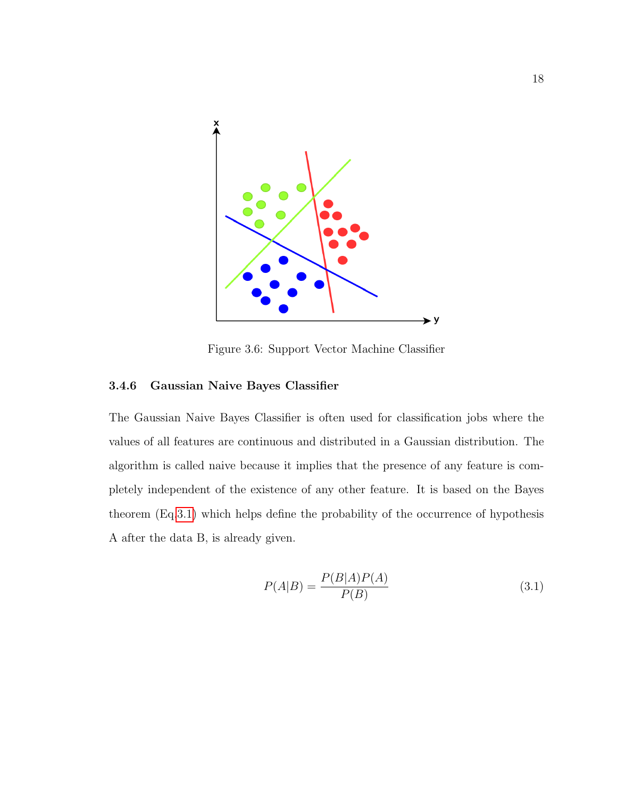<span id="page-27-1"></span>

Figure 3.6: Support Vector Machine Classifier

#### <span id="page-27-0"></span>3.4.6 Gaussian Naive Bayes Classifier

The Gaussian Naive Bayes Classifier is often used for classification jobs where the values of all features are continuous and distributed in a Gaussian distribution. The algorithm is called naive because it implies that the presence of any feature is completely independent of the existence of any other feature. It is based on the Bayes theorem (Eq[.3.1\)](#page-27-2) which helps define the probability of the occurrence of hypothesis A after the data B, is already given.

<span id="page-27-2"></span>
$$
P(A|B) = \frac{P(B|A)P(A)}{P(B)}\tag{3.1}
$$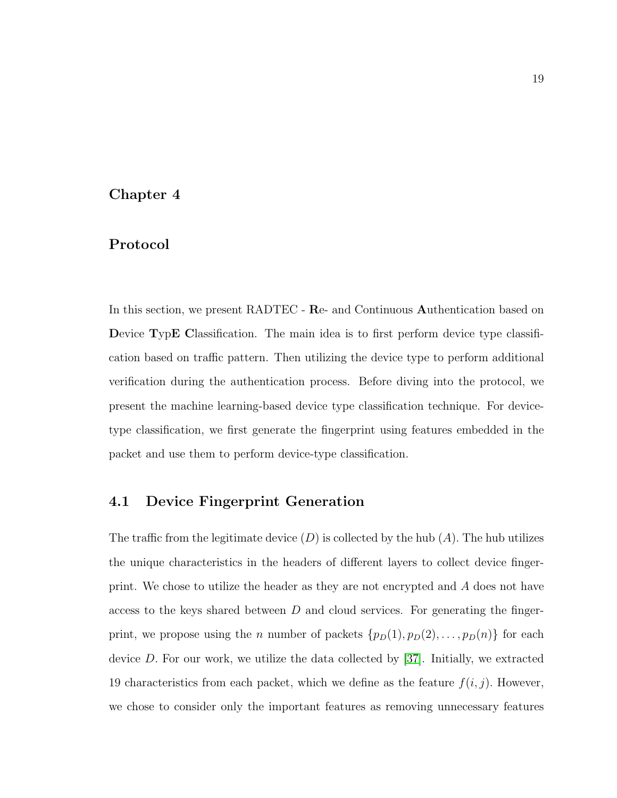### <span id="page-28-0"></span>Chapter 4

### Protocol

In this section, we present RADTEC - Re- and Continuous Authentication based on Device TypE Classification. The main idea is to first perform device type classification based on traffic pattern. Then utilizing the device type to perform additional verification during the authentication process. Before diving into the protocol, we present the machine learning-based device type classification technique. For devicetype classification, we first generate the fingerprint using features embedded in the packet and use them to perform device-type classification.

## <span id="page-28-1"></span>4.1 Device Fingerprint Generation

The traffic from the legitimate device  $(D)$  is collected by the hub  $(A)$ . The hub utilizes the unique characteristics in the headers of different layers to collect device fingerprint. We chose to utilize the header as they are not encrypted and A does not have access to the keys shared between  $D$  and cloud services. For generating the fingerprint, we propose using the *n* number of packets  $\{p_D(1), p_D(2), \ldots, p_D(n)\}\$  for each device D. For our work, we utilize the data collected by [\[37\]](#page-56-0). Initially, we extracted 19 characteristics from each packet, which we define as the feature  $f(i, j)$ . However, we chose to consider only the important features as removing unnecessary features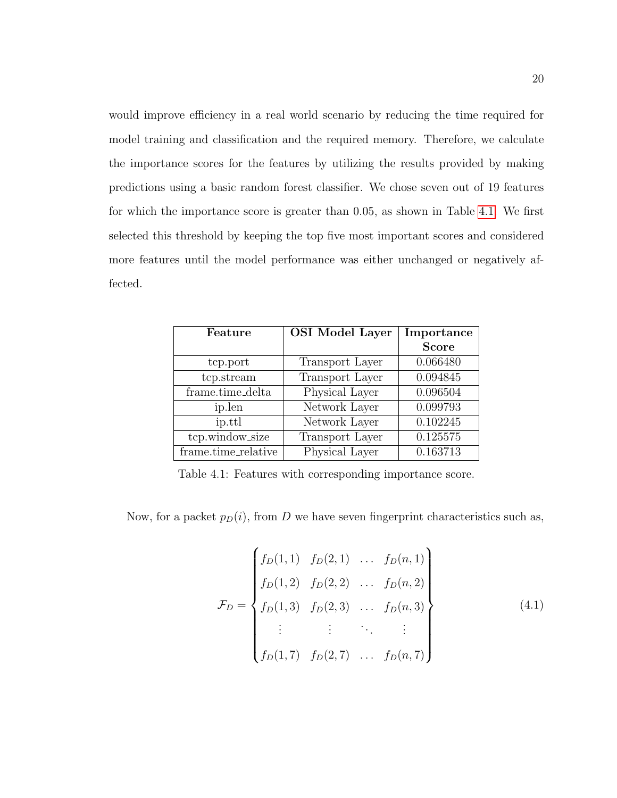would improve efficiency in a real world scenario by reducing the time required for model training and classification and the required memory. Therefore, we calculate the importance scores for the features by utilizing the results provided by making predictions using a basic random forest classifier. We chose seven out of 19 features for which the importance score is greater than 0.05, as shown in Table [4.1.](#page-29-0) We first selected this threshold by keeping the top five most important scores and considered more features until the model performance was either unchanged or negatively affected.

<span id="page-29-0"></span>

| Feature             | <b>OSI</b> Model Layer | Importance   |
|---------------------|------------------------|--------------|
|                     |                        | <b>Score</b> |
| tcp.port            | <b>Transport Layer</b> | 0.066480     |
| tcp.stream          | <b>Transport Layer</b> | 0.094845     |
| frame.time_delta    | Physical Layer         | 0.096504     |
| ip.len              | Network Layer          | 0.099793     |
| ip.ttl              | Network Layer          | 0.102245     |
| tcp.window_size     | <b>Transport Layer</b> | 0.125575     |
| frame.time_relative | Physical Layer         | 0.163713     |

Table 4.1: Features with corresponding importance score.

Now, for a packet  $p_D(i)$ , from D we have seven fingerprint characteristics such as,

$$
\mathcal{F}_D = \begin{Bmatrix} f_D(1,1) & f_D(2,1) & \dots & f_D(n,1) \\ f_D(1,2) & f_D(2,2) & \dots & f_D(n,2) \\ f_D(1,3) & f_D(2,3) & \dots & f_D(n,3) \\ \vdots & \vdots & \ddots & \vdots \\ f_D(1,7) & f_D(2,7) & \dots & f_D(n,7) \end{Bmatrix}
$$
(4.1)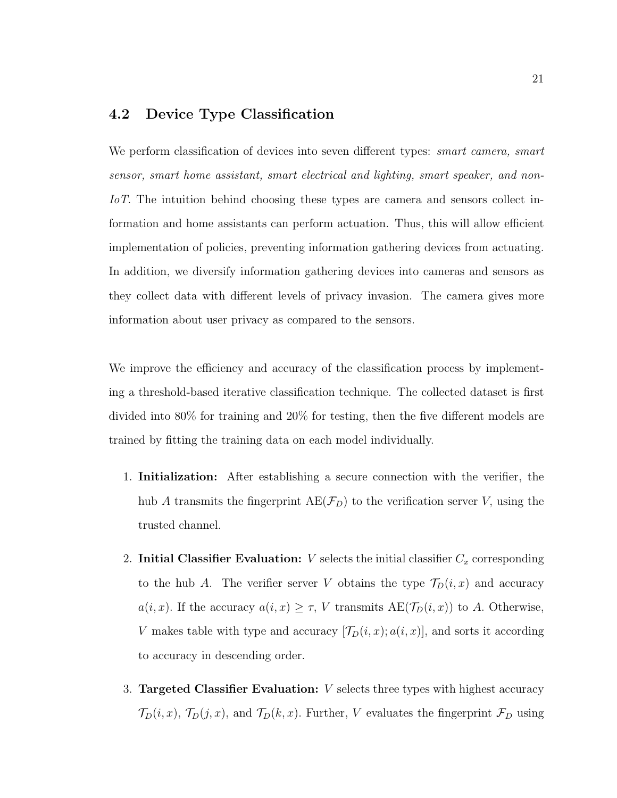## <span id="page-30-0"></span>4.2 Device Type Classification

We perform classification of devices into seven different types: *smart camera*, *smart* sensor, smart home assistant, smart electrical and lighting, smart speaker, and non-IoT. The intuition behind choosing these types are camera and sensors collect information and home assistants can perform actuation. Thus, this will allow efficient implementation of policies, preventing information gathering devices from actuating. In addition, we diversify information gathering devices into cameras and sensors as they collect data with different levels of privacy invasion. The camera gives more information about user privacy as compared to the sensors.

We improve the efficiency and accuracy of the classification process by implementing a threshold-based iterative classification technique. The collected dataset is first divided into 80% for training and 20% for testing, then the five different models are trained by fitting the training data on each model individually.

- 1. Initialization: After establishing a secure connection with the verifier, the hub A transmits the fingerprint  $AE(\mathcal{F}_D)$  to the verification server V, using the trusted channel.
- 2. Initial Classifier Evaluation:  $V$  selects the initial classifier  $C_x$  corresponding to the hub A. The verifier server V obtains the type  $\mathcal{T}_D(i,x)$  and accuracy  $a(i, x)$ . If the accuracy  $a(i, x) \geq \tau$ , V transmits  $AE(\mathcal{T}_D(i, x))$  to A. Otherwise, V makes table with type and accuracy  $[\mathcal{T}_D(i,x); a(i,x)]$ , and sorts it according to accuracy in descending order.
- 3. Targeted Classifier Evaluation: V selects three types with highest accuracy  $\mathcal{T}_D(i,x)$ ,  $\mathcal{T}_D(j,x)$ , and  $\mathcal{T}_D(k,x)$ . Further, V evaluates the fingerprint  $\mathcal{F}_D$  using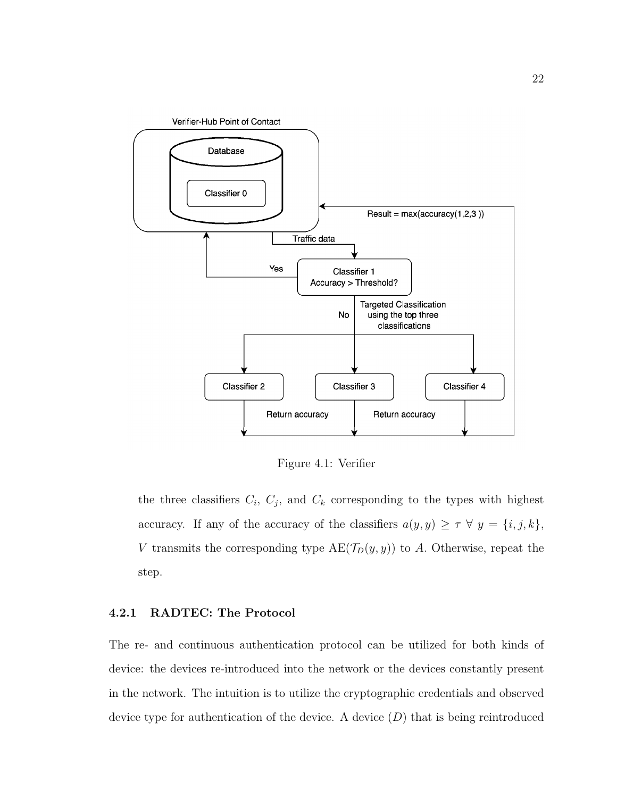<span id="page-31-1"></span>

Figure 4.1: Verifier

the three classifiers  $C_i$ ,  $C_j$ , and  $C_k$  corresponding to the types with highest accuracy. If any of the accuracy of the classifiers  $a(y, y) \geq \tau \ \forall \ y = \{i, j, k\},\$ V transmits the corresponding type  $AE(\mathcal{T}_D(y, y))$  to A. Otherwise, repeat the step.

#### <span id="page-31-0"></span>4.2.1 RADTEC: The Protocol

The re- and continuous authentication protocol can be utilized for both kinds of device: the devices re-introduced into the network or the devices constantly present in the network. The intuition is to utilize the cryptographic credentials and observed device type for authentication of the device. A device  $(D)$  that is being reintroduced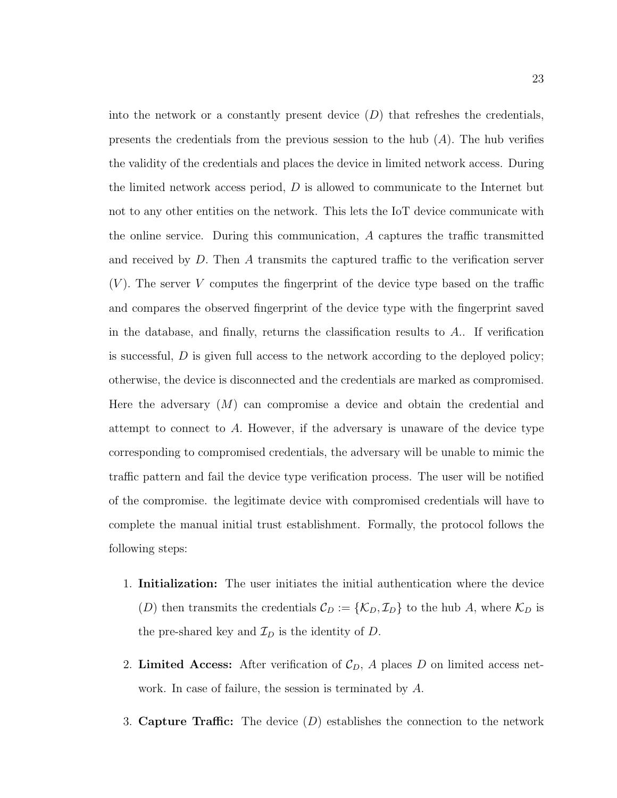into the network or a constantly present device  $(D)$  that refreshes the credentials, presents the credentials from the previous session to the hub  $(A)$ . The hub verifies the validity of the credentials and places the device in limited network access. During the limited network access period,  $D$  is allowed to communicate to the Internet but not to any other entities on the network. This lets the IoT device communicate with the online service. During this communication, A captures the traffic transmitted and received by D. Then A transmits the captured traffic to the verification server  $(V)$ . The server V computes the fingerprint of the device type based on the traffic and compares the observed fingerprint of the device type with the fingerprint saved in the database, and finally, returns the classification results to  $A$ . If verification is successful,  $D$  is given full access to the network according to the deployed policy; otherwise, the device is disconnected and the credentials are marked as compromised. Here the adversary  $(M)$  can compromise a device and obtain the credential and attempt to connect to A. However, if the adversary is unaware of the device type corresponding to compromised credentials, the adversary will be unable to mimic the traffic pattern and fail the device type verification process. The user will be notified of the compromise. the legitimate device with compromised credentials will have to complete the manual initial trust establishment. Formally, the protocol follows the following steps:

- 1. Initialization: The user initiates the initial authentication where the device (D) then transmits the credentials  $\mathcal{C}_D := \{ \mathcal{K}_D, \mathcal{I}_D \}$  to the hub A, where  $\mathcal{K}_D$  is the pre-shared key and  $\mathcal{I}_D$  is the identity of D.
- 2. Limited Access: After verification of  $\mathcal{C}_D$ , A places D on limited access network. In case of failure, the session is terminated by A.
- 3. Capture Traffic: The device  $(D)$  establishes the connection to the network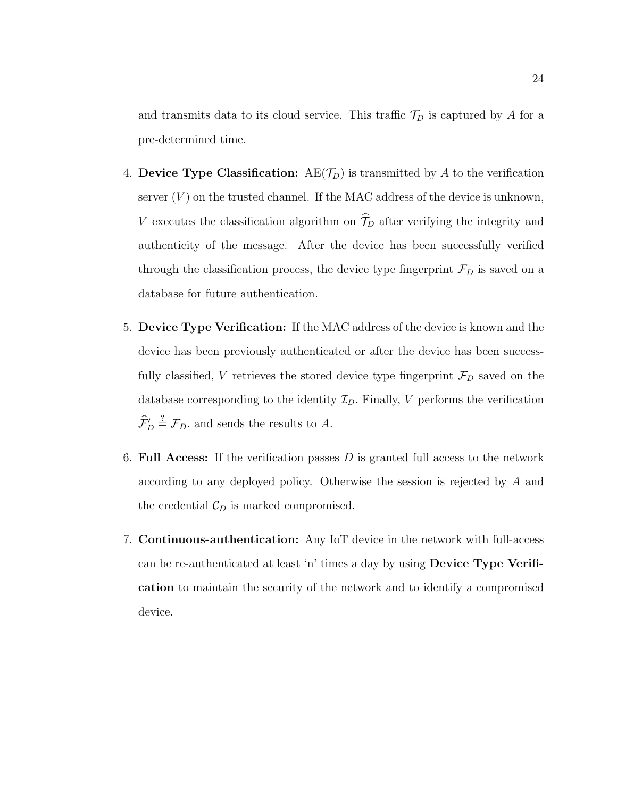and transmits data to its cloud service. This traffic  $\mathcal{T}_D$  is captured by A for a pre-determined time.

- 4. Device Type Classification:  $AE(\mathcal{T}_D)$  is transmitted by A to the verification server  $(V)$  on the trusted channel. If the MAC address of the device is unknown, V executes the classification algorithm on  $\widehat{\mathcal{T}}_D$  after verifying the integrity and authenticity of the message. After the device has been successfully verified through the classification process, the device type fingerprint  $\mathcal{F}_D$  is saved on a database for future authentication.
- 5. Device Type Verification: If the MAC address of the device is known and the device has been previously authenticated or after the device has been successfully classified, V retrieves the stored device type fingerprint  $\mathcal{F}_D$  saved on the database corresponding to the identity  $\mathcal{I}_D$ . Finally, V performs the verification  $\widehat{\mathcal{F}}'_{D} \stackrel{?}{=} \mathcal{F}_{D}$  and sends the results to A.
- 6. Full Access: If the verification passes  $D$  is granted full access to the network according to any deployed policy. Otherwise the session is rejected by A and the credential  $\mathcal{C}_D$  is marked compromised.
- 7. Continuous-authentication: Any IoT device in the network with full-access can be re-authenticated at least 'n' times a day by using Device Type Verification to maintain the security of the network and to identify a compromised device.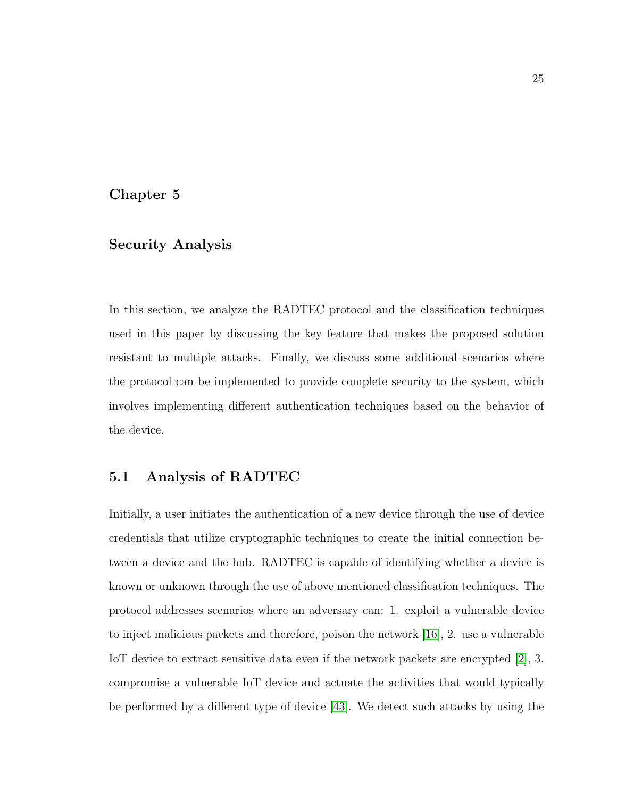## <span id="page-34-0"></span>Chapter 5

## Security Analysis

In this section, we analyze the RADTEC protocol and the classification techniques used in this paper by discussing the key feature that makes the proposed solution resistant to multiple attacks. Finally, we discuss some additional scenarios where the protocol can be implemented to provide complete security to the system, which involves implementing different authentication techniques based on the behavior of the device.

### <span id="page-34-1"></span>5.1 Analysis of RADTEC

Initially, a user initiates the authentication of a new device through the use of device credentials that utilize cryptographic techniques to create the initial connection between a device and the hub. RADTEC is capable of identifying whether a device is known or unknown through the use of above mentioned classification techniques. The protocol addresses scenarios where an adversary can: 1. exploit a vulnerable device to inject malicious packets and therefore, poison the network [\[16\]](#page-54-7), 2. use a vulnerable IoT device to extract sensitive data even if the network packets are encrypted [\[2\]](#page-52-5), 3. compromise a vulnerable IoT device and actuate the activities that would typically be performed by a different type of device [\[43\]](#page-57-6). We detect such attacks by using the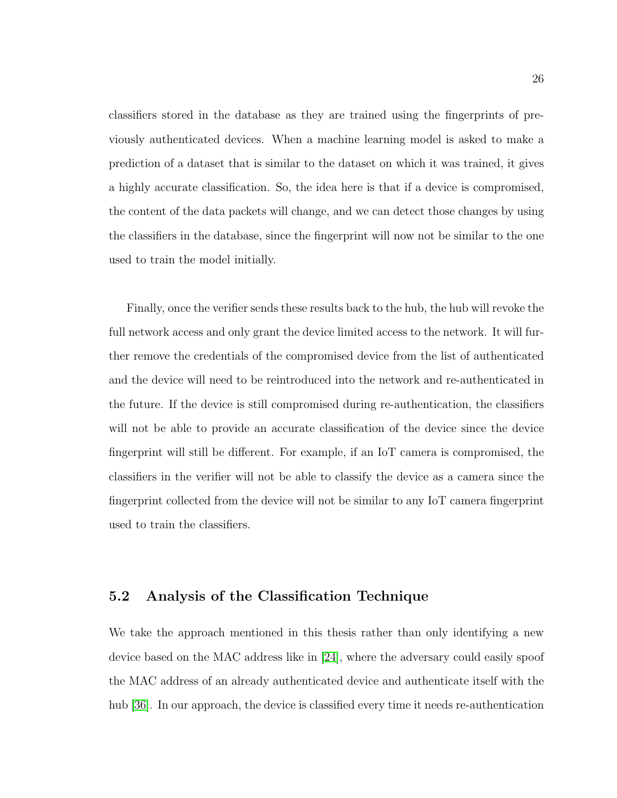classifiers stored in the database as they are trained using the fingerprints of previously authenticated devices. When a machine learning model is asked to make a prediction of a dataset that is similar to the dataset on which it was trained, it gives a highly accurate classification. So, the idea here is that if a device is compromised, the content of the data packets will change, and we can detect those changes by using the classifiers in the database, since the fingerprint will now not be similar to the one used to train the model initially.

Finally, once the verifier sends these results back to the hub, the hub will revoke the full network access and only grant the device limited access to the network. It will further remove the credentials of the compromised device from the list of authenticated and the device will need to be reintroduced into the network and re-authenticated in the future. If the device is still compromised during re-authentication, the classifiers will not be able to provide an accurate classification of the device since the device fingerprint will still be different. For example, if an IoT camera is compromised, the classifiers in the verifier will not be able to classify the device as a camera since the fingerprint collected from the device will not be similar to any IoT camera fingerprint used to train the classifiers.

## <span id="page-35-0"></span>5.2 Analysis of the Classification Technique

We take the approach mentioned in this thesis rather than only identifying a new device based on the MAC address like in [\[24\]](#page-55-2), where the adversary could easily spoof the MAC address of an already authenticated device and authenticate itself with the hub [\[36\]](#page-56-6). In our approach, the device is classified every time it needs re-authentication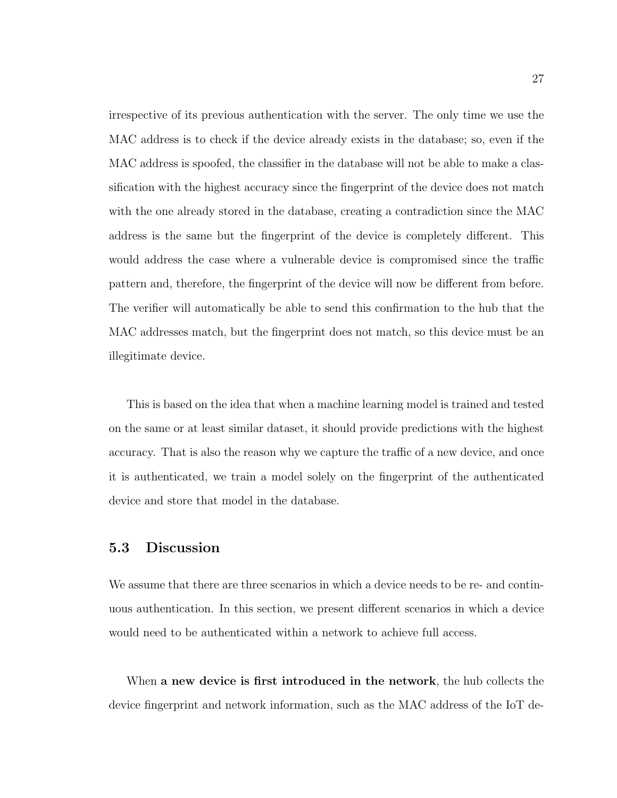irrespective of its previous authentication with the server. The only time we use the MAC address is to check if the device already exists in the database; so, even if the MAC address is spoofed, the classifier in the database will not be able to make a classification with the highest accuracy since the fingerprint of the device does not match with the one already stored in the database, creating a contradiction since the MAC address is the same but the fingerprint of the device is completely different. This would address the case where a vulnerable device is compromised since the traffic pattern and, therefore, the fingerprint of the device will now be different from before. The verifier will automatically be able to send this confirmation to the hub that the MAC addresses match, but the fingerprint does not match, so this device must be an illegitimate device.

This is based on the idea that when a machine learning model is trained and tested on the same or at least similar dataset, it should provide predictions with the highest accuracy. That is also the reason why we capture the traffic of a new device, and once it is authenticated, we train a model solely on the fingerprint of the authenticated device and store that model in the database.

## <span id="page-36-0"></span>5.3 Discussion

We assume that there are three scenarios in which a device needs to be re- and continuous authentication. In this section, we present different scenarios in which a device would need to be authenticated within a network to achieve full access.

When a new device is first introduced in the network, the hub collects the device fingerprint and network information, such as the MAC address of the IoT de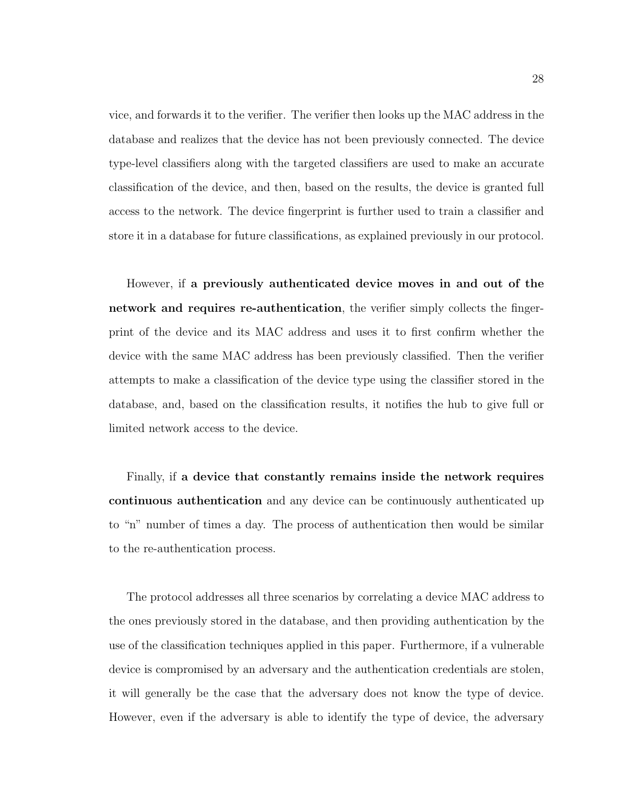vice, and forwards it to the verifier. The verifier then looks up the MAC address in the database and realizes that the device has not been previously connected. The device type-level classifiers along with the targeted classifiers are used to make an accurate classification of the device, and then, based on the results, the device is granted full access to the network. The device fingerprint is further used to train a classifier and store it in a database for future classifications, as explained previously in our protocol.

However, if a previously authenticated device moves in and out of the network and requires re-authentication, the verifier simply collects the fingerprint of the device and its MAC address and uses it to first confirm whether the device with the same MAC address has been previously classified. Then the verifier attempts to make a classification of the device type using the classifier stored in the database, and, based on the classification results, it notifies the hub to give full or limited network access to the device.

Finally, if a device that constantly remains inside the network requires continuous authentication and any device can be continuously authenticated up to "n" number of times a day. The process of authentication then would be similar to the re-authentication process.

The protocol addresses all three scenarios by correlating a device MAC address to the ones previously stored in the database, and then providing authentication by the use of the classification techniques applied in this paper. Furthermore, if a vulnerable device is compromised by an adversary and the authentication credentials are stolen, it will generally be the case that the adversary does not know the type of device. However, even if the adversary is able to identify the type of device, the adversary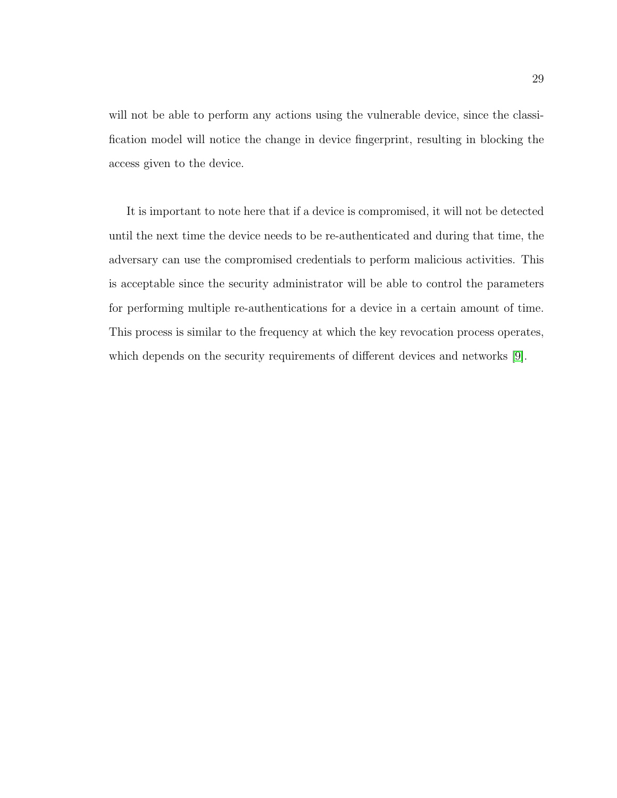will not be able to perform any actions using the vulnerable device, since the classification model will notice the change in device fingerprint, resulting in blocking the access given to the device.

It is important to note here that if a device is compromised, it will not be detected until the next time the device needs to be re-authenticated and during that time, the adversary can use the compromised credentials to perform malicious activities. This is acceptable since the security administrator will be able to control the parameters for performing multiple re-authentications for a device in a certain amount of time. This process is similar to the frequency at which the key revocation process operates, which depends on the security requirements of different devices and networks [\[9\]](#page-53-7).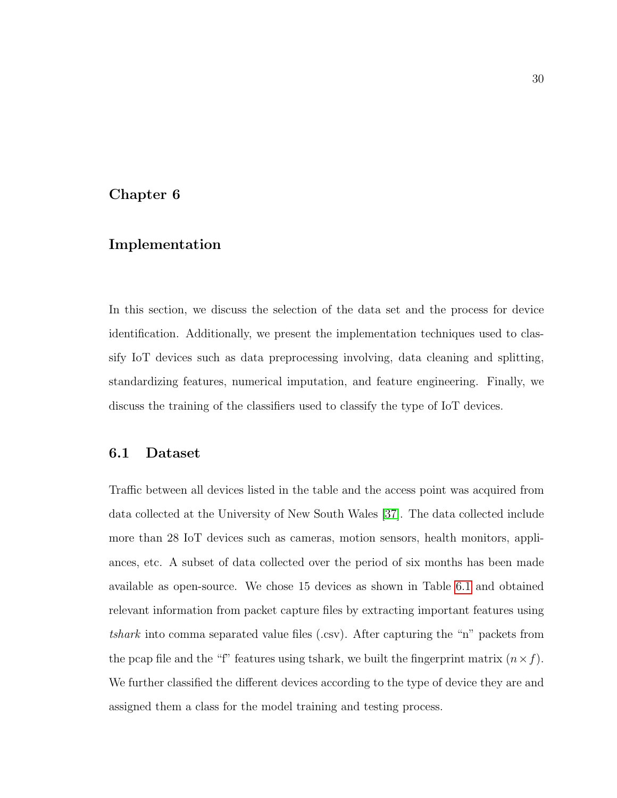## <span id="page-39-0"></span>Chapter 6

## Implementation

In this section, we discuss the selection of the data set and the process for device identification. Additionally, we present the implementation techniques used to classify IoT devices such as data preprocessing involving, data cleaning and splitting, standardizing features, numerical imputation, and feature engineering. Finally, we discuss the training of the classifiers used to classify the type of IoT devices.

## <span id="page-39-1"></span>6.1 Dataset

Traffic between all devices listed in the table and the access point was acquired from data collected at the University of New South Wales [\[37\]](#page-56-0). The data collected include more than 28 IoT devices such as cameras, motion sensors, health monitors, appliances, etc. A subset of data collected over the period of six months has been made available as open-source. We chose 15 devices as shown in Table [6.1](#page-40-1) and obtained relevant information from packet capture files by extracting important features using tshark into comma separated value files (.csv). After capturing the "n" packets from the pcap file and the "f" features using tshark, we built the fingerprint matrix  $(n \times f)$ . We further classified the different devices according to the type of device they are and assigned them a class for the model training and testing process.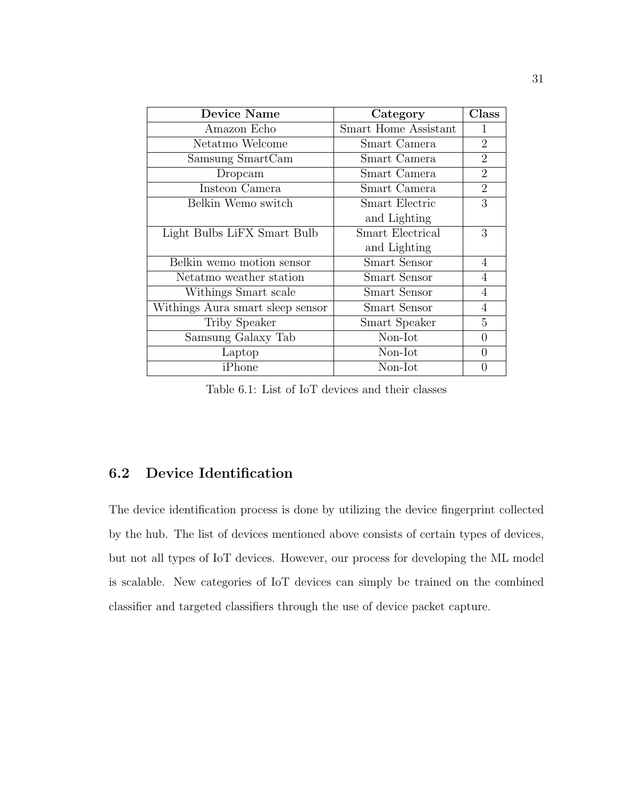<span id="page-40-1"></span>

| Device Name                      | Category                    | $\rm Class$    |
|----------------------------------|-----------------------------|----------------|
| Amazon Echo                      | <b>Smart Home Assistant</b> | 1              |
| Netatmo Welcome                  | Smart Camera                | $\overline{2}$ |
| Samsung SmartCam                 | Smart Camera                | $\overline{2}$ |
| Dropcam                          | Smart Camera                | $\overline{2}$ |
| Insteon Camera                   | Smart Camera                | $\overline{2}$ |
| Belkin Wemo switch               | <b>Smart Electric</b>       | 3              |
|                                  | and Lighting                |                |
| Light Bulbs LiFX Smart Bulb      | <b>Smart Electrical</b>     | 3              |
|                                  | and Lighting                |                |
| Belkin wemo motion sensor        | Smart Sensor                | 4              |
| Netatmo weather station          | Smart Sensor                | 4              |
| Withings Smart scale             | Smart Sensor                | 4              |
| Withings Aura smart sleep sensor | Smart Sensor                | 4              |
| Triby Speaker                    | Smart Speaker               | 5              |
| Samsung Galaxy Tab               | Non-Iot                     | $\theta$       |
| Laptop                           | Non-Iot                     | $\Omega$       |
| iPhone                           | Non-Iot                     | U              |

Table 6.1: List of IoT devices and their classes

## <span id="page-40-0"></span>6.2 Device Identification

The device identification process is done by utilizing the device fingerprint collected by the hub. The list of devices mentioned above consists of certain types of devices, but not all types of IoT devices. However, our process for developing the ML model is scalable. New categories of IoT devices can simply be trained on the combined classifier and targeted classifiers through the use of device packet capture.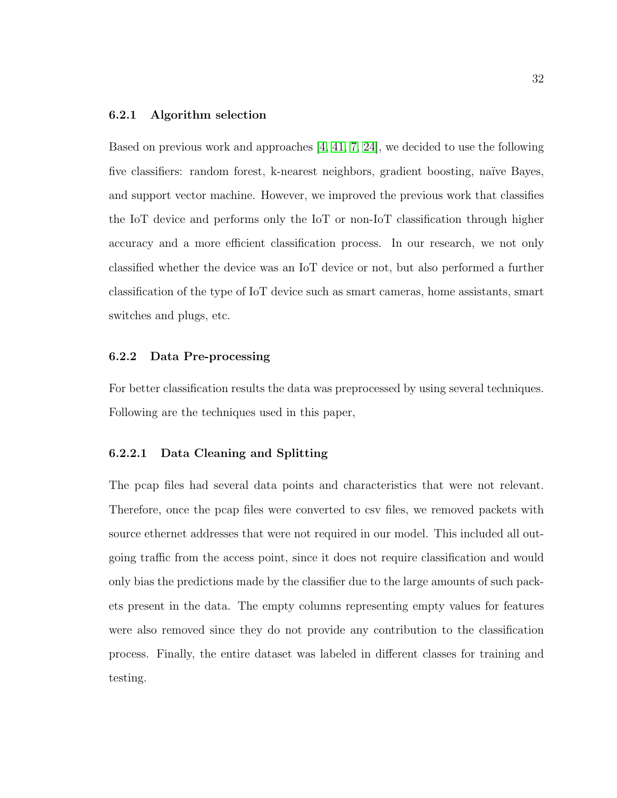#### <span id="page-41-0"></span>6.2.1 Algorithm selection

Based on previous work and approaches [\[4,](#page-52-3) [41,](#page-57-2) [7,](#page-53-4) [24\]](#page-55-2), we decided to use the following five classifiers: random forest, k-nearest neighbors, gradient boosting, naïve Bayes, and support vector machine. However, we improved the previous work that classifies the IoT device and performs only the IoT or non-IoT classification through higher accuracy and a more efficient classification process. In our research, we not only classified whether the device was an IoT device or not, but also performed a further classification of the type of IoT device such as smart cameras, home assistants, smart switches and plugs, etc.

#### <span id="page-41-1"></span>6.2.2 Data Pre-processing

For better classification results the data was preprocessed by using several techniques. Following are the techniques used in this paper,

#### <span id="page-41-2"></span>6.2.2.1 Data Cleaning and Splitting

The pcap files had several data points and characteristics that were not relevant. Therefore, once the pcap files were converted to csv files, we removed packets with source ethernet addresses that were not required in our model. This included all outgoing traffic from the access point, since it does not require classification and would only bias the predictions made by the classifier due to the large amounts of such packets present in the data. The empty columns representing empty values for features were also removed since they do not provide any contribution to the classification process. Finally, the entire dataset was labeled in different classes for training and testing.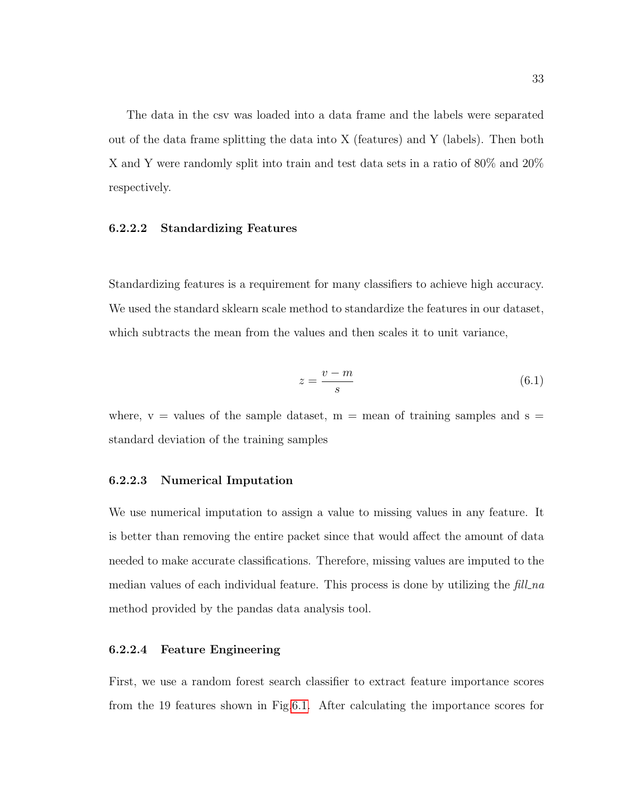The data in the csv was loaded into a data frame and the labels were separated out of the data frame splitting the data into X (features) and Y (labels). Then both X and Y were randomly split into train and test data sets in a ratio of 80% and 20% respectively.

#### <span id="page-42-0"></span>6.2.2.2 Standardizing Features

Standardizing features is a requirement for many classifiers to achieve high accuracy. We used the standard sklearn scale method to standardize the features in our dataset, which subtracts the mean from the values and then scales it to unit variance,

$$
z = \frac{v - m}{s} \tag{6.1}
$$

where,  $v =$  values of the sample dataset,  $m =$  mean of training samples and  $s =$ standard deviation of the training samples

#### <span id="page-42-1"></span>6.2.2.3 Numerical Imputation

We use numerical imputation to assign a value to missing values in any feature. It is better than removing the entire packet since that would affect the amount of data needed to make accurate classifications. Therefore, missing values are imputed to the median values of each individual feature. This process is done by utilizing the fill na method provided by the pandas data analysis tool.

#### <span id="page-42-2"></span>6.2.2.4 Feature Engineering

First, we use a random forest search classifier to extract feature importance scores from the 19 features shown in Fig[.6.1.](#page-43-0) After calculating the importance scores for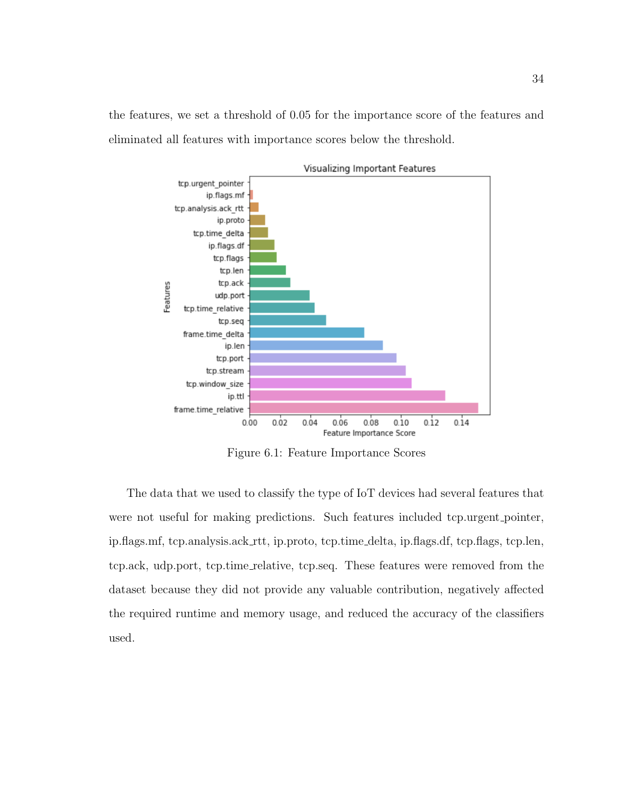<span id="page-43-0"></span>the features, we set a threshold of 0.05 for the importance score of the features and eliminated all features with importance scores below the threshold.



Figure 6.1: Feature Importance Scores

The data that we used to classify the type of IoT devices had several features that were not useful for making predictions. Such features included tcp.urgent\_pointer, ip.flags.mf, tcp.analysis.ack rtt, ip.proto, tcp.time delta, ip.flags.df, tcp.flags, tcp.len, tcp.ack, udp.port, tcp.time relative, tcp.seq. These features were removed from the dataset because they did not provide any valuable contribution, negatively affected the required runtime and memory usage, and reduced the accuracy of the classifiers used.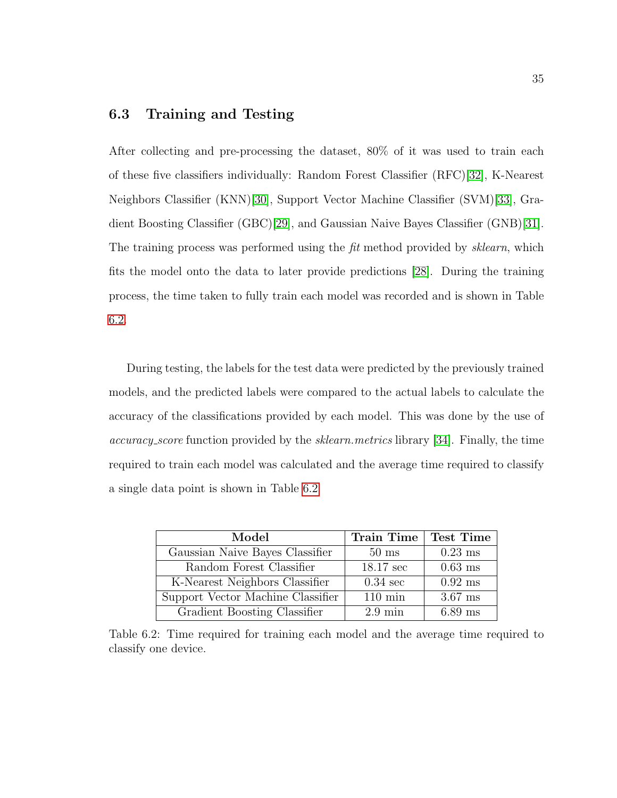## <span id="page-44-0"></span>6.3 Training and Testing

After collecting and pre-processing the dataset, 80% of it was used to train each of these five classifiers individually: Random Forest Classifier (RFC)[\[32\]](#page-56-1), K-Nearest Neighbors Classifier (KNN)[\[30\]](#page-56-2), Support Vector Machine Classifier (SVM)[\[33\]](#page-56-3), Gradient Boosting Classifier (GBC)[\[29\]](#page-55-1), and Gaussian Naive Bayes Classifier (GNB)[\[31\]](#page-56-4). The training process was performed using the fit method provided by *sklearn*, which fits the model onto the data to later provide predictions [\[28\]](#page-55-6). During the training process, the time taken to fully train each model was recorded and is shown in Table [6.2.](#page-44-1)

During testing, the labels for the test data were predicted by the previously trained models, and the predicted labels were compared to the actual labels to calculate the accuracy of the classifications provided by each model. This was done by the use of accuracy score function provided by the sklearn.metrics library [\[34\]](#page-56-7). Finally, the time required to train each model was calculated and the average time required to classify a single data point is shown in Table [6.2](#page-44-1)

<span id="page-44-1"></span>

| Model                             | <b>Train Time</b>   | <b>Test Time</b> |
|-----------------------------------|---------------------|------------------|
| Gaussian Naive Bayes Classifier   | $50 \text{ ms}$     | $0.23$ ms        |
| Random Forest Classifier          | $18.17 \text{ sec}$ | $0.63$ ms        |
| K-Nearest Neighbors Classifier    | $0.34 \text{ sec}$  | $0.92$ ms        |
| Support Vector Machine Classifier | $110 \text{ min}$   | $3.67$ ms        |
| Gradient Boosting Classifier      | $2.9 \text{ min}$   | $6.89$ ms        |

Table 6.2: Time required for training each model and the average time required to classify one device.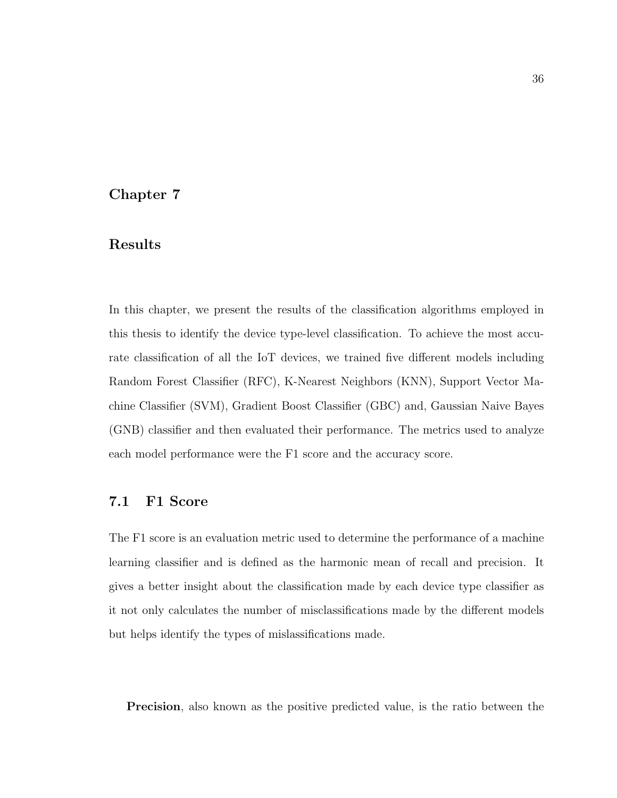## <span id="page-45-0"></span>Chapter 7

## Results

In this chapter, we present the results of the classification algorithms employed in this thesis to identify the device type-level classification. To achieve the most accurate classification of all the IoT devices, we trained five different models including Random Forest Classifier (RFC), K-Nearest Neighbors (KNN), Support Vector Machine Classifier (SVM), Gradient Boost Classifier (GBC) and, Gaussian Naive Bayes (GNB) classifier and then evaluated their performance. The metrics used to analyze each model performance were the F1 score and the accuracy score.

### <span id="page-45-1"></span>7.1 F1 Score

The F1 score is an evaluation metric used to determine the performance of a machine learning classifier and is defined as the harmonic mean of recall and precision. It gives a better insight about the classification made by each device type classifier as it not only calculates the number of misclassifications made by the different models but helps identify the types of mislassifications made.

Precision, also known as the positive predicted value, is the ratio between the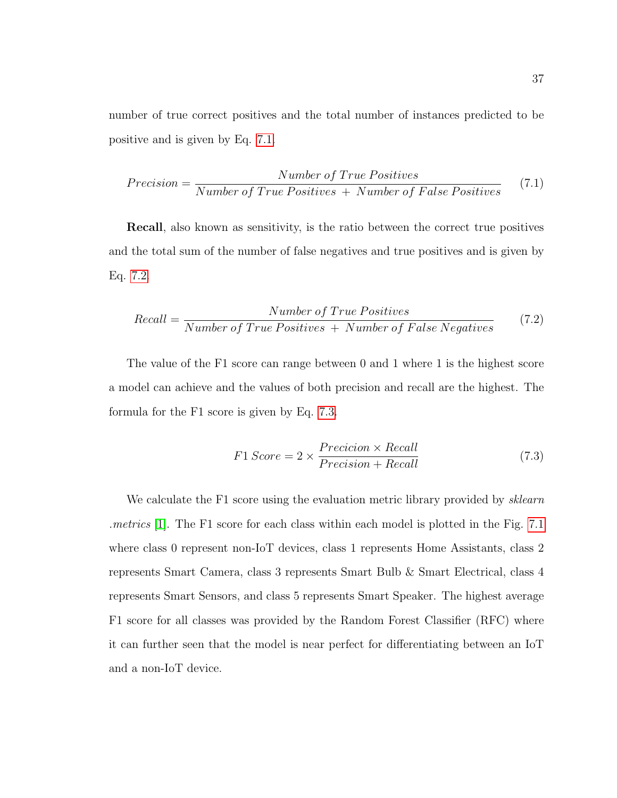number of true correct positives and the total number of instances predicted to be positive and is given by Eq. [7.1.](#page-46-0)

<span id="page-46-0"></span>
$$
Precision = \frac{Number\ of\ True\ Positives}{Number\ of\ True\ Positives\ +\ Number\ of\ False\ Positives} \tag{7.1}
$$

Recall, also known as sensitivity, is the ratio between the correct true positives and the total sum of the number of false negatives and true positives and is given by Eq. [7.2.](#page-46-1)

<span id="page-46-1"></span>
$$
Recall = \frac{Number\ of\ True\ Positives}{Number\ of\ True\ Positives\ +\ Number\ of\ False\ Negatives} \tag{7.2}
$$

The value of the F1 score can range between 0 and 1 where 1 is the highest score a model can achieve and the values of both precision and recall are the highest. The formula for the F1 score is given by Eq. [7.3.](#page-46-2)

<span id="page-46-2"></span>
$$
F1 \, Score = 2 \times \frac{Precision \times Recall}{Precision + Recall} \tag{7.3}
$$

We calculate the F1 score using the evaluation metric library provided by *sklearn* .metrics [\[1\]](#page-52-6). The F1 score for each class within each model is plotted in the Fig. [7.1](#page-47-1) where class 0 represent non-IoT devices, class 1 represents Home Assistants, class 2 represents Smart Camera, class 3 represents Smart Bulb & Smart Electrical, class 4 represents Smart Sensors, and class 5 represents Smart Speaker. The highest average F1 score for all classes was provided by the Random Forest Classifier (RFC) where it can further seen that the model is near perfect for differentiating between an IoT and a non-IoT device.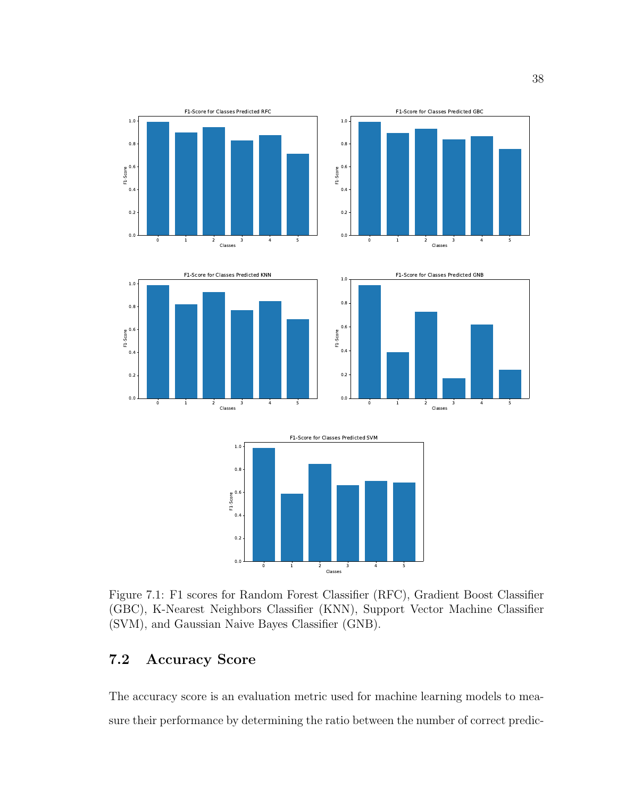<span id="page-47-1"></span>

Figure 7.1: F1 scores for Random Forest Classifier (RFC), Gradient Boost Classifier (GBC), K-Nearest Neighbors Classifier (KNN), Support Vector Machine Classifier (SVM), and Gaussian Naive Bayes Classifier (GNB).

## <span id="page-47-0"></span>7.2 Accuracy Score

The accuracy score is an evaluation metric used for machine learning models to measure their performance by determining the ratio between the number of correct predic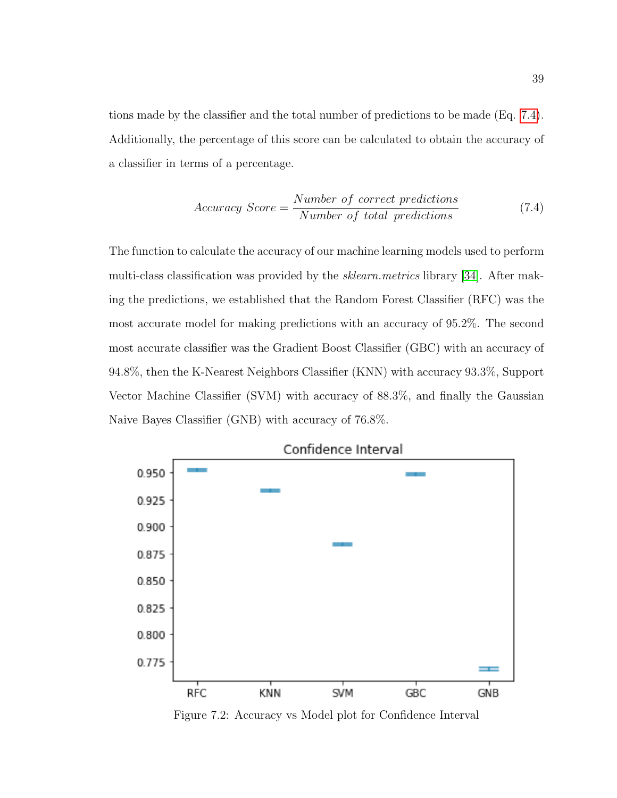tions made by the classifier and the total number of predictions to be made (Eq. [7.4\)](#page-48-1). Additionally, the percentage of this score can be calculated to obtain the accuracy of a classifier in terms of a percentage.

<span id="page-48-1"></span>
$$
Accuracy Score = \frac{Number\ of\ correct\ predictions}{Number\ of\ total\ predictions} \tag{7.4}
$$

The function to calculate the accuracy of our machine learning models used to perform multi-class classification was provided by the sklearn.metrics library [\[34\]](#page-56-7). After making the predictions, we established that the Random Forest Classifier (RFC) was the most accurate model for making predictions with an accuracy of 95.2%. The second most accurate classifier was the Gradient Boost Classifier (GBC) with an accuracy of 94.8%, then the K-Nearest Neighbors Classifier (KNN) with accuracy 93.3%, Support Vector Machine Classifier (SVM) with accuracy of 88.3%, and finally the Gaussian Naive Bayes Classifier (GNB) with accuracy of 76.8%.

<span id="page-48-0"></span>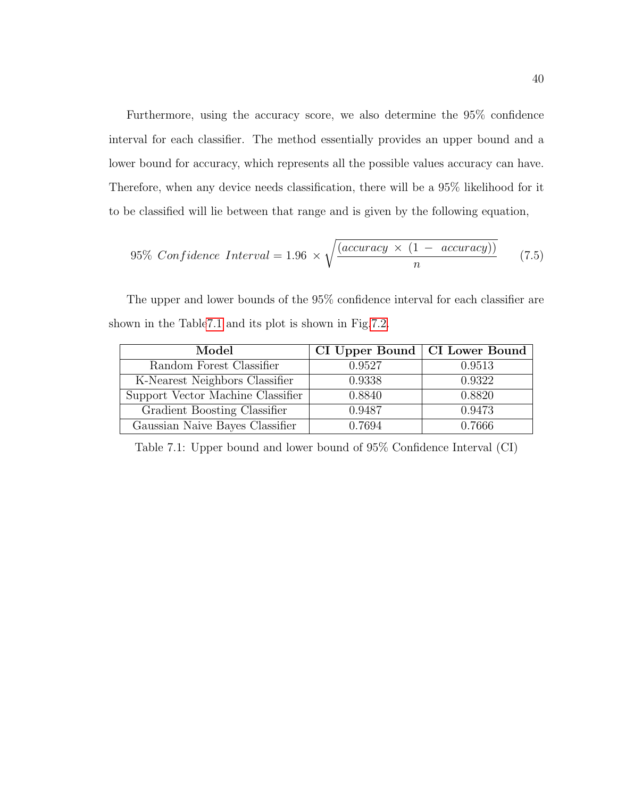Furthermore, using the accuracy score, we also determine the 95% confidence interval for each classifier. The method essentially provides an upper bound and a lower bound for accuracy, which represents all the possible values accuracy can have. Therefore, when any device needs classification, there will be a 95% likelihood for it to be classified will lie between that range and is given by the following equation,

$$
95\% Confidence Interval = 1.96 \times \sqrt{\frac{(accuracy \times (1 - accuracy))}{n}} \tag{7.5}
$$

The upper and lower bounds of the 95% confidence interval for each classifier are shown in the Tabl[e7.1](#page-49-0) and its plot is shown in Fig[.7.2.](#page-48-0)

<span id="page-49-0"></span>

| Model                             | CI Upper Bound   CI Lower Bound |        |
|-----------------------------------|---------------------------------|--------|
| Random Forest Classifier          | 0.9527                          | 0.9513 |
| K-Nearest Neighbors Classifier    | 0.9338                          | 0.9322 |
| Support Vector Machine Classifier | 0.8840                          | 0.8820 |
| Gradient Boosting Classifier      | 0.9487                          | 0.9473 |
| Gaussian Naive Bayes Classifier   | 0.7694                          | 0.7666 |

Table 7.1: Upper bound and lower bound of 95% Confidence Interval (CI)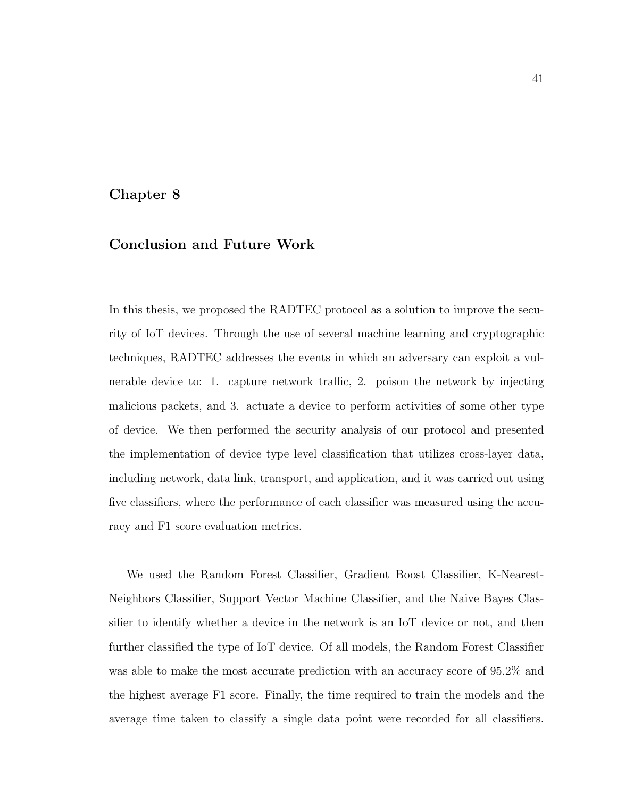## <span id="page-50-0"></span>Chapter 8

## Conclusion and Future Work

In this thesis, we proposed the RADTEC protocol as a solution to improve the security of IoT devices. Through the use of several machine learning and cryptographic techniques, RADTEC addresses the events in which an adversary can exploit a vulnerable device to: 1. capture network traffic, 2. poison the network by injecting malicious packets, and 3. actuate a device to perform activities of some other type of device. We then performed the security analysis of our protocol and presented the implementation of device type level classification that utilizes cross-layer data, including network, data link, transport, and application, and it was carried out using five classifiers, where the performance of each classifier was measured using the accuracy and F1 score evaluation metrics.

We used the Random Forest Classifier, Gradient Boost Classifier, K-Nearest-Neighbors Classifier, Support Vector Machine Classifier, and the Naive Bayes Classifier to identify whether a device in the network is an IoT device or not, and then further classified the type of IoT device. Of all models, the Random Forest Classifier was able to make the most accurate prediction with an accuracy score of  $95.2\%$  and the highest average F1 score. Finally, the time required to train the models and the average time taken to classify a single data point were recorded for all classifiers.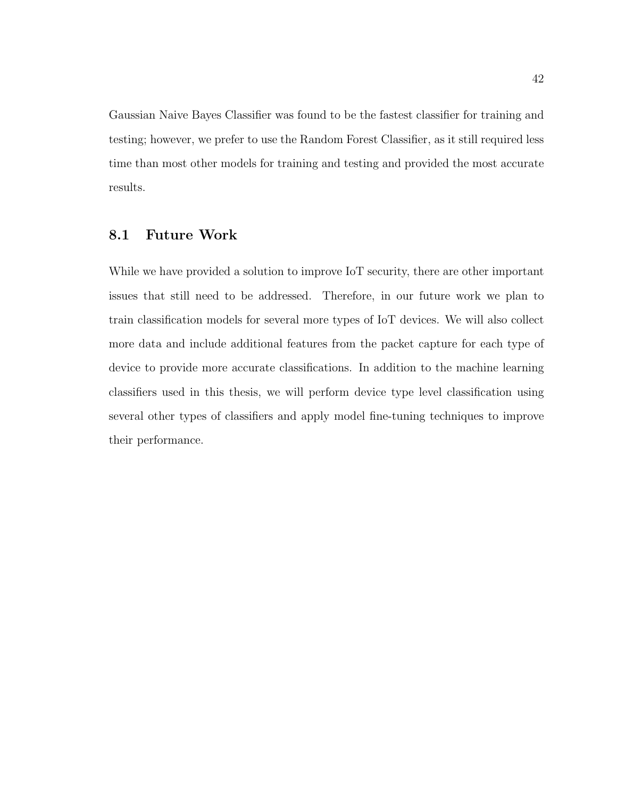Gaussian Naive Bayes Classifier was found to be the fastest classifier for training and testing; however, we prefer to use the Random Forest Classifier, as it still required less time than most other models for training and testing and provided the most accurate results.

## <span id="page-51-0"></span>8.1 Future Work

While we have provided a solution to improve IoT security, there are other important issues that still need to be addressed. Therefore, in our future work we plan to train classification models for several more types of IoT devices. We will also collect more data and include additional features from the packet capture for each type of device to provide more accurate classifications. In addition to the machine learning classifiers used in this thesis, we will perform device type level classification using several other types of classifiers and apply model fine-tuning techniques to improve their performance.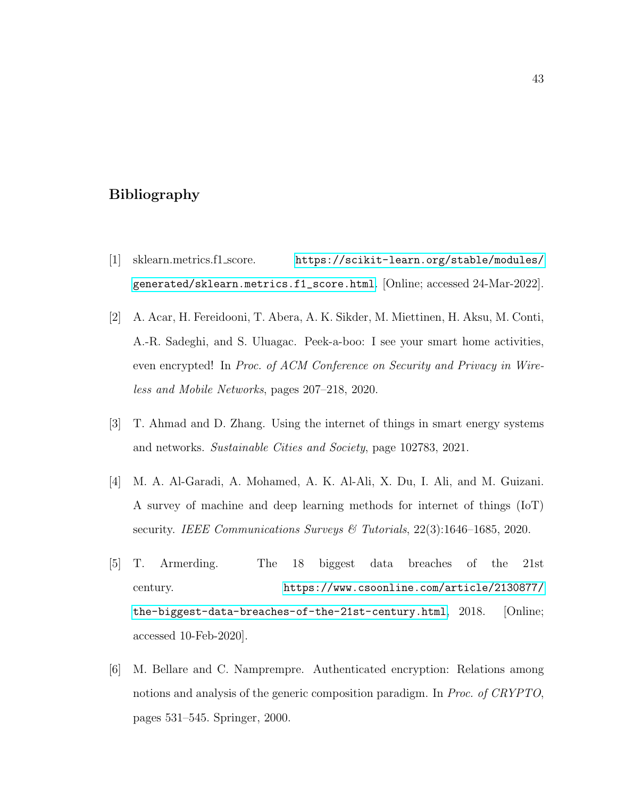## <span id="page-52-0"></span>Bibliography

- <span id="page-52-6"></span>[1] sklearn.metrics.f1 score. [https://scikit-learn.org/stable/modules/](https://scikit-learn.org/stable/modules/generated/sklearn.metrics.f1_score.html) [generated/sklearn.metrics.f1\\_score.html](https://scikit-learn.org/stable/modules/generated/sklearn.metrics.f1_score.html). [Online; accessed 24-Mar-2022].
- <span id="page-52-5"></span>[2] A. Acar, H. Fereidooni, T. Abera, A. K. Sikder, M. Miettinen, H. Aksu, M. Conti, A.-R. Sadeghi, and S. Uluagac. Peek-a-boo: I see your smart home activities, even encrypted! In Proc. of ACM Conference on Security and Privacy in Wireless and Mobile Networks, pages 207–218, 2020.
- <span id="page-52-1"></span>[3] T. Ahmad and D. Zhang. Using the internet of things in smart energy systems and networks. Sustainable Cities and Society, page 102783, 2021.
- <span id="page-52-3"></span>[4] M. A. Al-Garadi, A. Mohamed, A. K. Al-Ali, X. Du, I. Ali, and M. Guizani. A survey of machine and deep learning methods for internet of things (IoT) security. IEEE Communications Surveys & Tutorials, 22(3):1646–1685, 2020.
- <span id="page-52-2"></span>[5] T. Armerding. The 18 biggest data breaches of the 21st century. [https://www.csoonline.com/article/2130877/](https://www.csoonline.com/article/2130877/the-biggest-data-breaches-of-the-21st-century.html) [the-biggest-data-breaches-of-the-21st-century.html](https://www.csoonline.com/article/2130877/the-biggest-data-breaches-of-the-21st-century.html), 2018. [Online; accessed 10-Feb-2020].
- <span id="page-52-4"></span>[6] M. Bellare and C. Namprempre. Authenticated encryption: Relations among notions and analysis of the generic composition paradigm. In Proc. of CRYPTO, pages 531–545. Springer, 2000.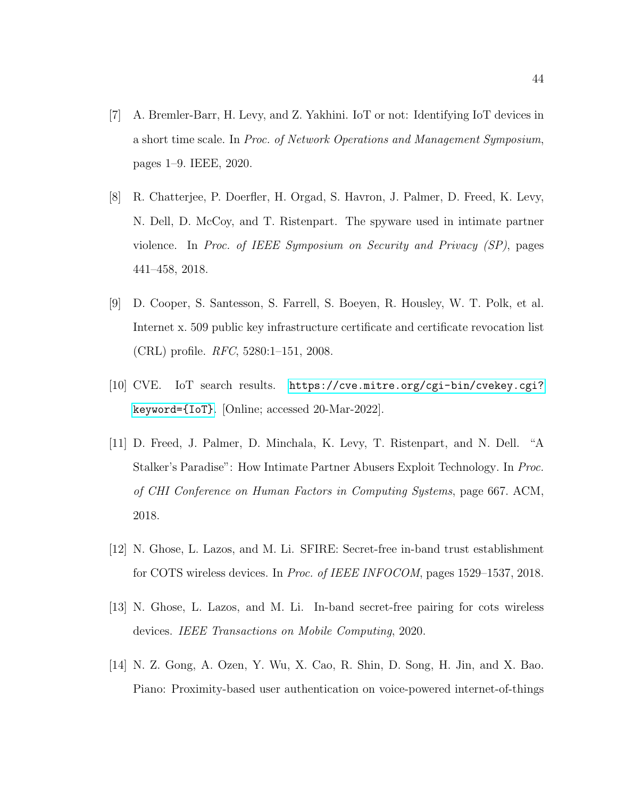- <span id="page-53-4"></span>[7] A. Bremler-Barr, H. Levy, and Z. Yakhini. IoT or not: Identifying IoT devices in a short time scale. In Proc. of Network Operations and Management Symposium, pages 1–9. IEEE, 2020.
- <span id="page-53-2"></span>[8] R. Chatterjee, P. Doerfler, H. Orgad, S. Havron, J. Palmer, D. Freed, K. Levy, N. Dell, D. McCoy, and T. Ristenpart. The spyware used in intimate partner violence. In Proc. of IEEE Symposium on Security and Privacy (SP), pages 441–458, 2018.
- <span id="page-53-7"></span>[9] D. Cooper, S. Santesson, S. Farrell, S. Boeyen, R. Housley, W. T. Polk, et al. Internet x. 509 public key infrastructure certificate and certificate revocation list (CRL) profile. RFC, 5280:1–151, 2008.
- <span id="page-53-1"></span>[10] CVE. IoT search results. [https://cve.mitre.org/cgi-bin/cvekey.cgi?](https://cve.mitre.org/cgi-bin/cvekey.cgi?keyword={IoT}) [keyword={IoT}](https://cve.mitre.org/cgi-bin/cvekey.cgi?keyword={IoT}). [Online; accessed 20-Mar-2022].
- <span id="page-53-3"></span>[11] D. Freed, J. Palmer, D. Minchala, K. Levy, T. Ristenpart, and N. Dell. "A Stalker's Paradise": How Intimate Partner Abusers Exploit Technology. In Proc. of CHI Conference on Human Factors in Computing Systems, page 667. ACM, 2018.
- <span id="page-53-6"></span>[12] N. Ghose, L. Lazos, and M. Li. SFIRE: Secret-free in-band trust establishment for COTS wireless devices. In Proc. of IEEE INFOCOM, pages 1529–1537, 2018.
- <span id="page-53-0"></span>[13] N. Ghose, L. Lazos, and M. Li. In-band secret-free pairing for cots wireless devices. IEEE Transactions on Mobile Computing, 2020.
- <span id="page-53-5"></span>[14] N. Z. Gong, A. Ozen, Y. Wu, X. Cao, R. Shin, D. Song, H. Jin, and X. Bao. Piano: Proximity-based user authentication on voice-powered internet-of-things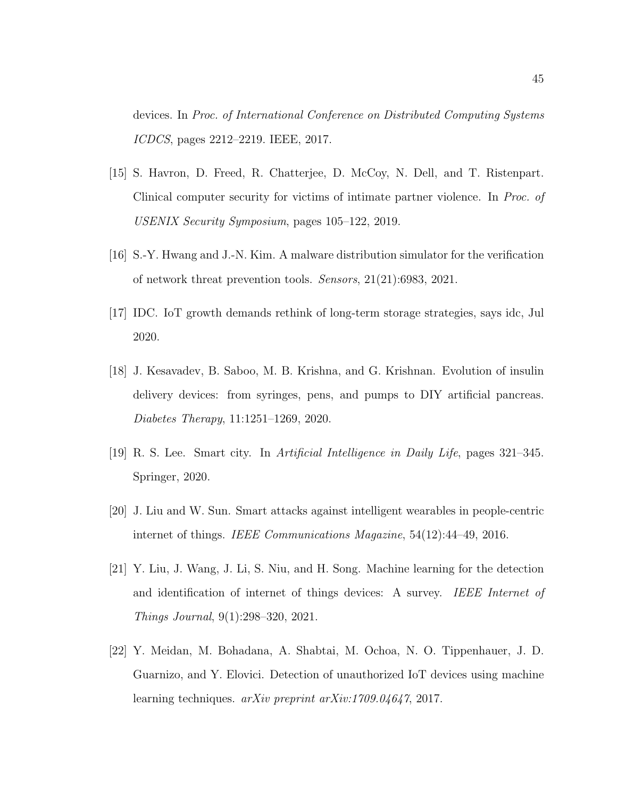devices. In Proc. of International Conference on Distributed Computing Systems ICDCS, pages 2212–2219. IEEE, 2017.

- <span id="page-54-3"></span>[15] S. Havron, D. Freed, R. Chatterjee, D. McCoy, N. Dell, and T. Ristenpart. Clinical computer security for victims of intimate partner violence. In Proc. of USENIX Security Symposium, pages 105–122, 2019.
- <span id="page-54-7"></span>[16] S.-Y. Hwang and J.-N. Kim. A malware distribution simulator for the verification of network threat prevention tools. Sensors, 21(21):6983, 2021.
- <span id="page-54-0"></span>[17] IDC. IoT growth demands rethink of long-term storage strategies, says idc, Jul 2020.
- <span id="page-54-2"></span>[18] J. Kesavadev, B. Saboo, M. B. Krishna, and G. Krishnan. Evolution of insulin delivery devices: from syringes, pens, and pumps to DIY artificial pancreas. Diabetes Therapy, 11:1251–1269, 2020.
- <span id="page-54-1"></span>[19] R. S. Lee. Smart city. In Artificial Intelligence in Daily Life, pages 321–345. Springer, 2020.
- <span id="page-54-6"></span>[20] J. Liu and W. Sun. Smart attacks against intelligent wearables in people-centric internet of things. IEEE Communications Magazine, 54(12):44–49, 2016.
- <span id="page-54-5"></span>[21] Y. Liu, J. Wang, J. Li, S. Niu, and H. Song. Machine learning for the detection and identification of internet of things devices: A survey. IEEE Internet of Things Journal, 9(1):298–320, 2021.
- <span id="page-54-4"></span>[22] Y. Meidan, M. Bohadana, A. Shabtai, M. Ochoa, N. O. Tippenhauer, J. D. Guarnizo, and Y. Elovici. Detection of unauthorized IoT devices using machine learning techniques. arXiv preprint arXiv:1709.04647, 2017.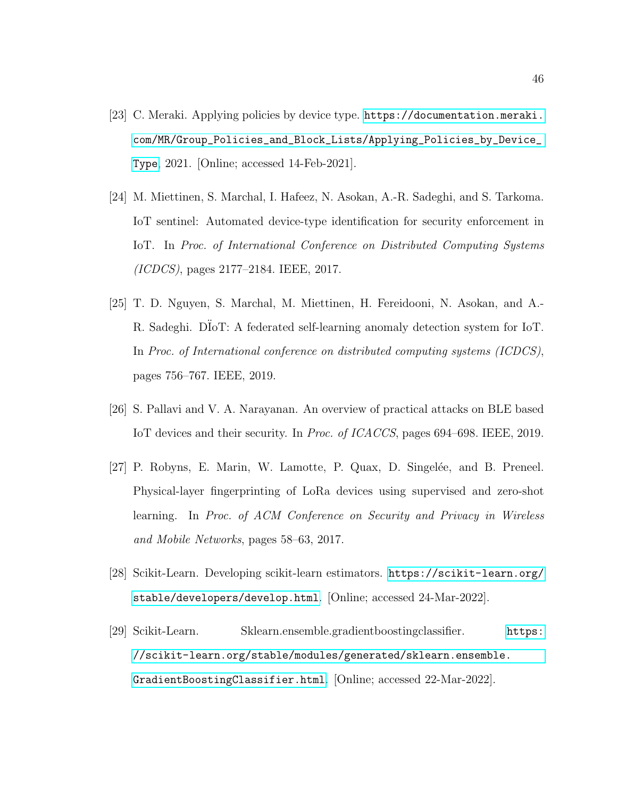- <span id="page-55-0"></span>[23] C. Meraki. Applying policies by device type. [https://documentation.meraki.](https://documentation.meraki.com/MR/Group_Policies_and_Block_Lists/Applying_Policies_by_Device_Type) [com/MR/Group\\_Policies\\_and\\_Block\\_Lists/Applying\\_Policies\\_by\\_Device\\_](https://documentation.meraki.com/MR/Group_Policies_and_Block_Lists/Applying_Policies_by_Device_Type) [Type](https://documentation.meraki.com/MR/Group_Policies_and_Block_Lists/Applying_Policies_by_Device_Type), 2021. [Online; accessed 14-Feb-2021].
- <span id="page-55-2"></span>[24] M. Miettinen, S. Marchal, I. Hafeez, N. Asokan, A.-R. Sadeghi, and S. Tarkoma. IoT sentinel: Automated device-type identification for security enforcement in IoT. In Proc. of International Conference on Distributed Computing Systems (ICDCS), pages 2177–2184. IEEE, 2017.
- <span id="page-55-3"></span>[25] T. D. Nguyen, S. Marchal, M. Miettinen, H. Fereidooni, N. Asokan, and A.- R. Sadeghi. DIoT: A federated self-learning anomaly detection system for IoT. In Proc. of International conference on distributed computing systems (ICDCS), pages 756–767. IEEE, 2019.
- <span id="page-55-5"></span>[26] S. Pallavi and V. A. Narayanan. An overview of practical attacks on BLE based IoT devices and their security. In Proc. of ICACCS, pages 694–698. IEEE, 2019.
- <span id="page-55-4"></span>[27] P. Robyns, E. Marin, W. Lamotte, P. Quax, D. Singelée, and B. Preneel. Physical-layer fingerprinting of LoRa devices using supervised and zero-shot learning. In Proc. of ACM Conference on Security and Privacy in Wireless and Mobile Networks, pages 58–63, 2017.
- <span id="page-55-6"></span>[28] Scikit-Learn. Developing scikit-learn estimators. [https://scikit-learn.org/](https://scikit-learn.org/stable/developers/develop.html) [stable/developers/develop.html](https://scikit-learn.org/stable/developers/develop.html). [Online; accessed 24-Mar-2022].
- <span id="page-55-1"></span>[29] Scikit-Learn. Sklearn.ensemble.gradientboostingclassifier. [https:](https://scikit-learn.org/stable/modules/generated/sklearn.ensemble.GradientBoostingClassifier.html) [//scikit-learn.org/stable/modules/generated/sklearn.ensemble.](https://scikit-learn.org/stable/modules/generated/sklearn.ensemble.GradientBoostingClassifier.html) [GradientBoostingClassifier.html](https://scikit-learn.org/stable/modules/generated/sklearn.ensemble.GradientBoostingClassifier.html). [Online; accessed 22-Mar-2022].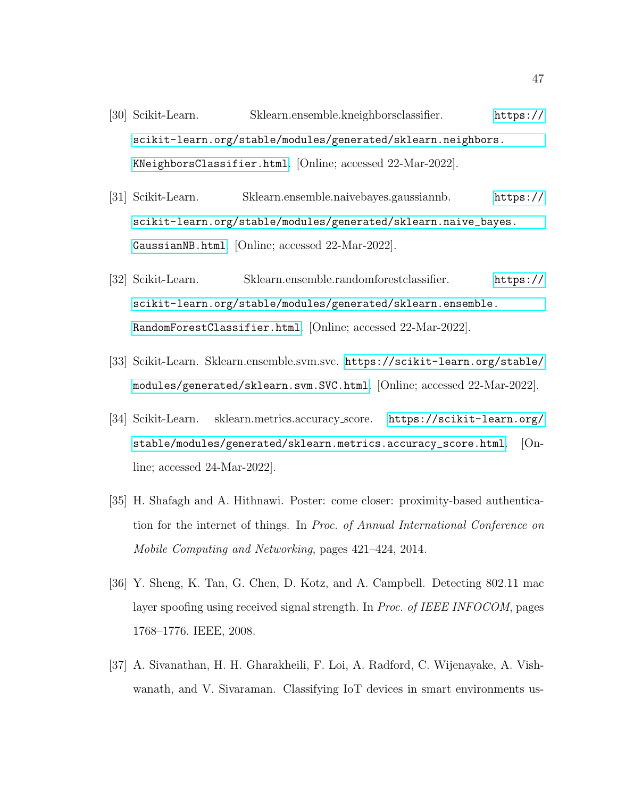- <span id="page-56-2"></span>[30] Scikit-Learn. Sklearn.ensemble.kneighborsclassifier. [https://]( https://scikit-learn.org/stable/modules/generated/sklearn.neighbors.KNeighborsClassifier.html) [scikit-learn.org/stable/modules/generated/sklearn.neighbors.]( https://scikit-learn.org/stable/modules/generated/sklearn.neighbors.KNeighborsClassifier.html) [KNeighborsClassifier.html]( https://scikit-learn.org/stable/modules/generated/sklearn.neighbors.KNeighborsClassifier.html). [Online; accessed 22-Mar-2022].
- <span id="page-56-4"></span>[31] Scikit-Learn. Sklearn.ensemble.naivebayes.gaussiannb. [https://](https://scikit-learn.org/stable/modules/generated/sklearn.naive_bayes.GaussianNB.html) [scikit-learn.org/stable/modules/generated/sklearn.naive\\_bayes.](https://scikit-learn.org/stable/modules/generated/sklearn.naive_bayes.GaussianNB.html) [GaussianNB.html](https://scikit-learn.org/stable/modules/generated/sklearn.naive_bayes.GaussianNB.html). [Online; accessed 22-Mar-2022].
- <span id="page-56-1"></span>[32] Scikit-Learn. Sklearn.ensemble.randomforestclassifier. [https://](https://scikit-learn.org/stable/modules/generated/sklearn.ensemble.RandomForestClassifier.html) [scikit-learn.org/stable/modules/generated/sklearn.ensemble.](https://scikit-learn.org/stable/modules/generated/sklearn.ensemble.RandomForestClassifier.html) [RandomForestClassifier.html](https://scikit-learn.org/stable/modules/generated/sklearn.ensemble.RandomForestClassifier.html). [Online; accessed 22-Mar-2022].
- <span id="page-56-3"></span>[33] Scikit-Learn. Sklearn.ensemble.svm.svc. [https://scikit-learn.org/stable/](https://scikit-learn.org/stable/modules/generated/sklearn.svm.SVC.html) [modules/generated/sklearn.svm.SVC.html](https://scikit-learn.org/stable/modules/generated/sklearn.svm.SVC.html). [Online; accessed 22-Mar-2022].
- <span id="page-56-7"></span>[34] Scikit-Learn. sklearn.metrics.accuracy score. [https://scikit-learn.org/](https://scikit-learn.org/stable/modules/generated/sklearn.metrics.accuracy_score.html)  $stable/modules/generated/sklearn.metrics.accuracy_score.html.$  $stable/modules/generated/sklearn.metrics.accuracy_score.html.$ line; accessed 24-Mar-2022].
- <span id="page-56-5"></span>[35] H. Shafagh and A. Hithnawi. Poster: come closer: proximity-based authentication for the internet of things. In Proc. of Annual International Conference on Mobile Computing and Networking, pages 421–424, 2014.
- <span id="page-56-6"></span>[36] Y. Sheng, K. Tan, G. Chen, D. Kotz, and A. Campbell. Detecting 802.11 mac layer spoofing using received signal strength. In Proc. of IEEE INFOCOM, pages 1768–1776. IEEE, 2008.
- <span id="page-56-0"></span>[37] A. Sivanathan, H. H. Gharakheili, F. Loi, A. Radford, C. Wijenayake, A. Vishwanath, and V. Sivaraman. Classifying IoT devices in smart environments us-